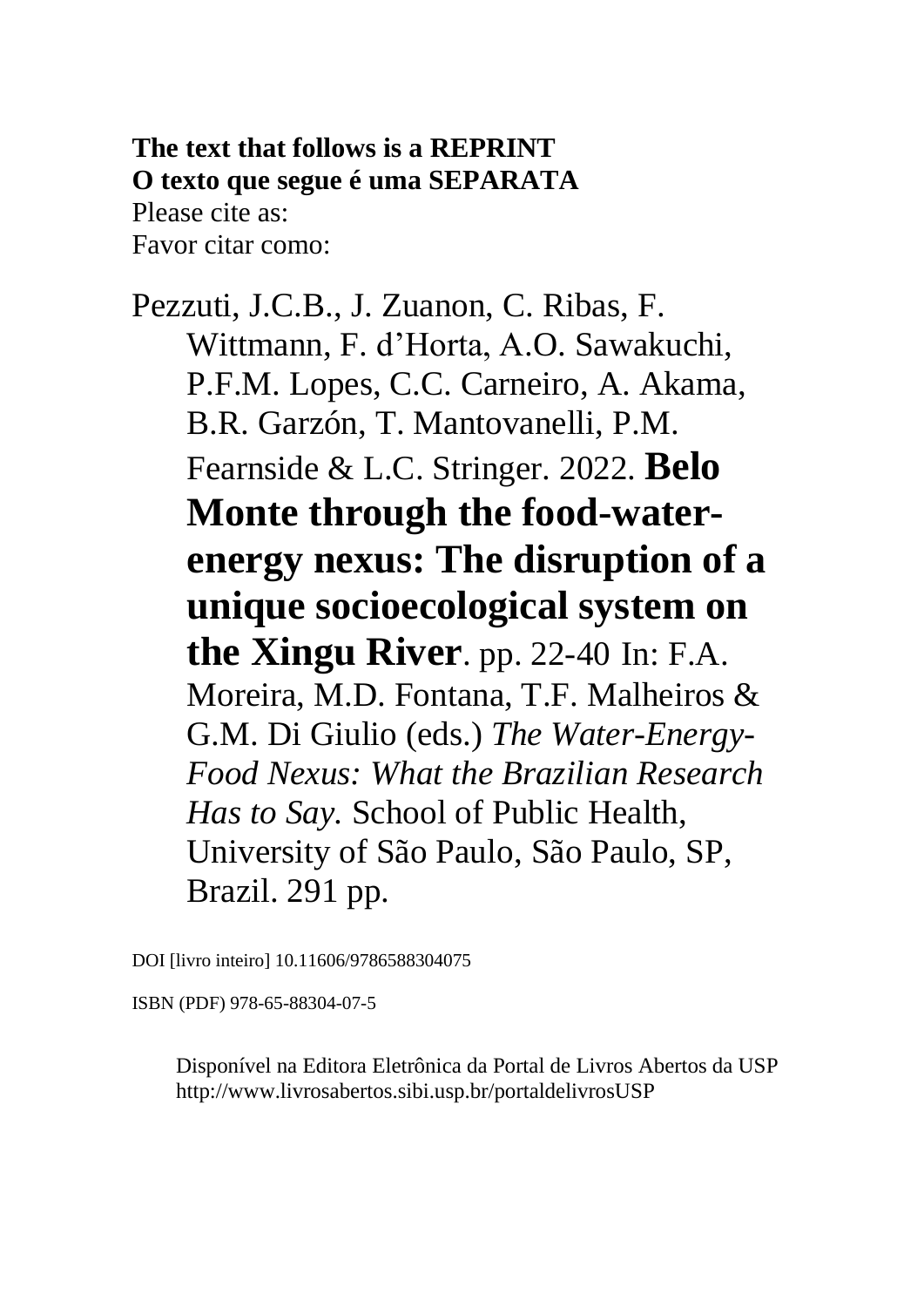**The text that follows is a REPRINT O texto que segue é uma SEPARATA** Please cite as: Favor citar como:

Pezzuti, J.C.B., J. Zuanon, C. Ribas, F. Wittmann, F. d'Horta, A.O. Sawakuchi, P.F.M. Lopes, C.C. Carneiro, A. Akama, B.R. Garzón, T. Mantovanelli, P.M. Fearnside & L.C. Stringer. 2022. **Belo Monte through the food-waterenergy nexus: The disruption of a unique socioecological system on the Xingu River**. pp. 22-40 In: F.A. Moreira, M.D. Fontana, T.F. Malheiros & G.M. Di Giulio (eds.) *The Water-Energy-Food Nexus: What the Brazilian Research Has to Say.* School of Public Health, University of São Paulo, São Paulo, SP, Brazil. 291 pp.

DOI [livro inteiro] 10.11606/9786588304075

ISBN (PDF) 978-65-88304-07-5

Disponível na Editora Eletrônica da Portal de Livros Abertos da USP http://www.livrosabertos.sibi.usp.br/portaldelivrosUSP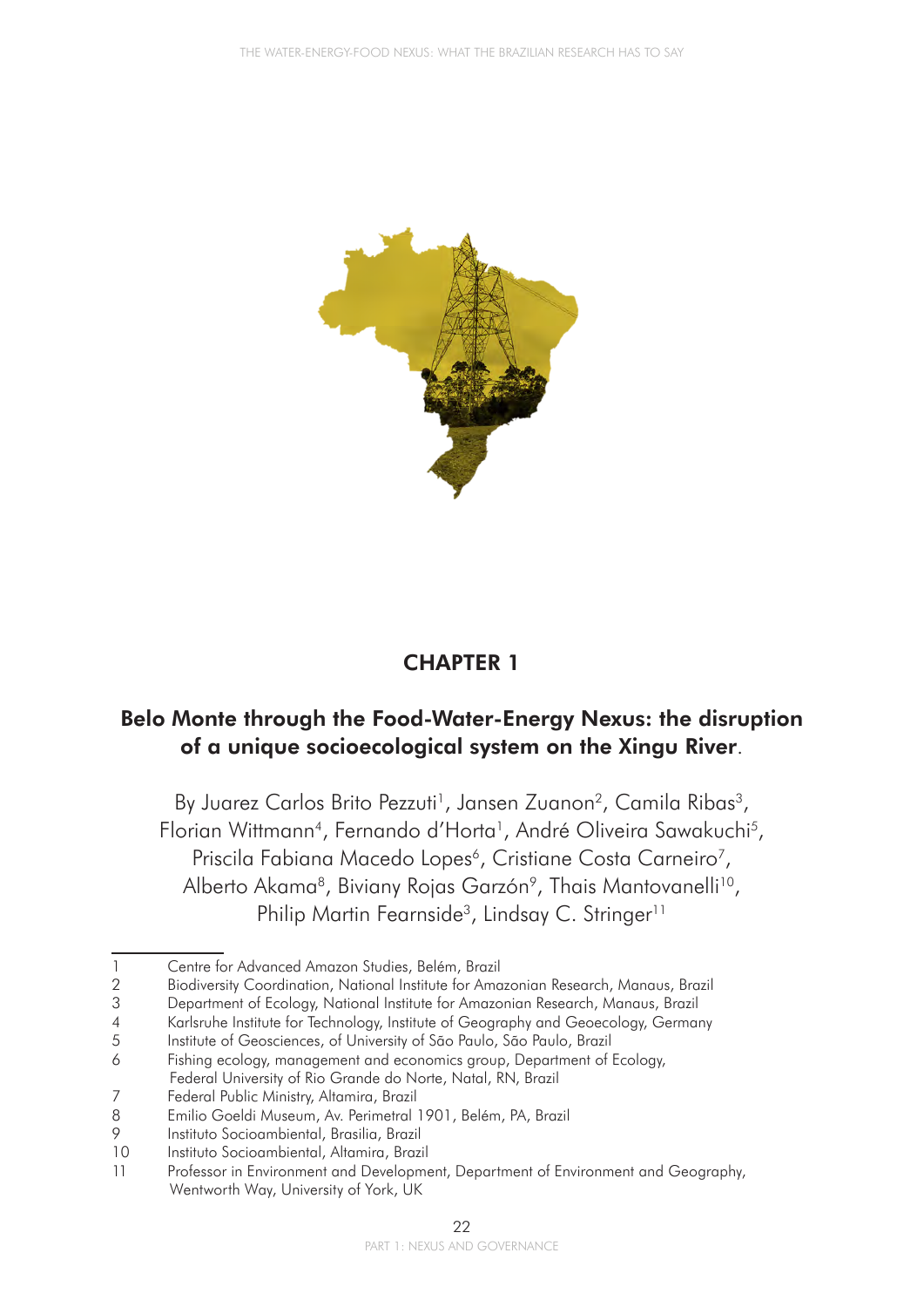

## CHAPTER 1

### Belo Monte through the Food-Water-Energy Nexus: the disruption of a unique socioecological system on the Xingu River.

By Juarez Carlos Brito Pezzuti<sup>1</sup>, Jansen Zuanon<sup>2</sup>, Camila Ribas<sup>3</sup>, Florian Wittmann4, Fernando d'Horta1, André Oliveira Sawakuchi*<sup>5</sup>* , Priscila Fabiana Macedo Lopes<sup>6</sup>, Cristiane Costa Carneiro<sup>7</sup>, Alberto Akama<sup>8</sup>, Biviany Rojas Garzón<sup>9</sup>, Thais Mantovanelli<sup>10</sup>, Philip Martin Fearnside<sup>3</sup>, Lindsay C. Stringer<sup>11</sup>

<sup>1</sup> Centre for Advanced Amazon Studies, Belém, Brazil

<sup>2</sup> Biodiversity Coordination, National Institute for Amazonian Research, Manaus, Brazil

<sup>3</sup> Department of Ecology, National Institute for Amazonian Research, Manaus, Brazil

<sup>4</sup> Karlsruhe Institute for Technology, Institute of Geography and Geoecology, Germany

<sup>5</sup> Institute of Geosciences, of University of São Paulo, São Paulo, Brazil

<sup>6</sup> Fishing ecology, management and economics group, Department of Ecology, Federal University of Rio Grande do Norte, Natal, RN, Brazil<br>7 Federal Public Ministry, Altamira, Brazil

<sup>7</sup> Federal Public Ministry, Altamira, Brazil

<sup>8</sup> Emilio Goeldi Museum, Av. Perimetral 1901, Belém, PA, Brazil

<sup>9</sup> Instituto Socioambiental, Brasilia, Brazil

<sup>10</sup> Instituto Socioambiental, Altamira, Brazil

<sup>11</sup> Professor in Environment and Development, Department of Environment and Geography, Wentworth Way, University of York, UK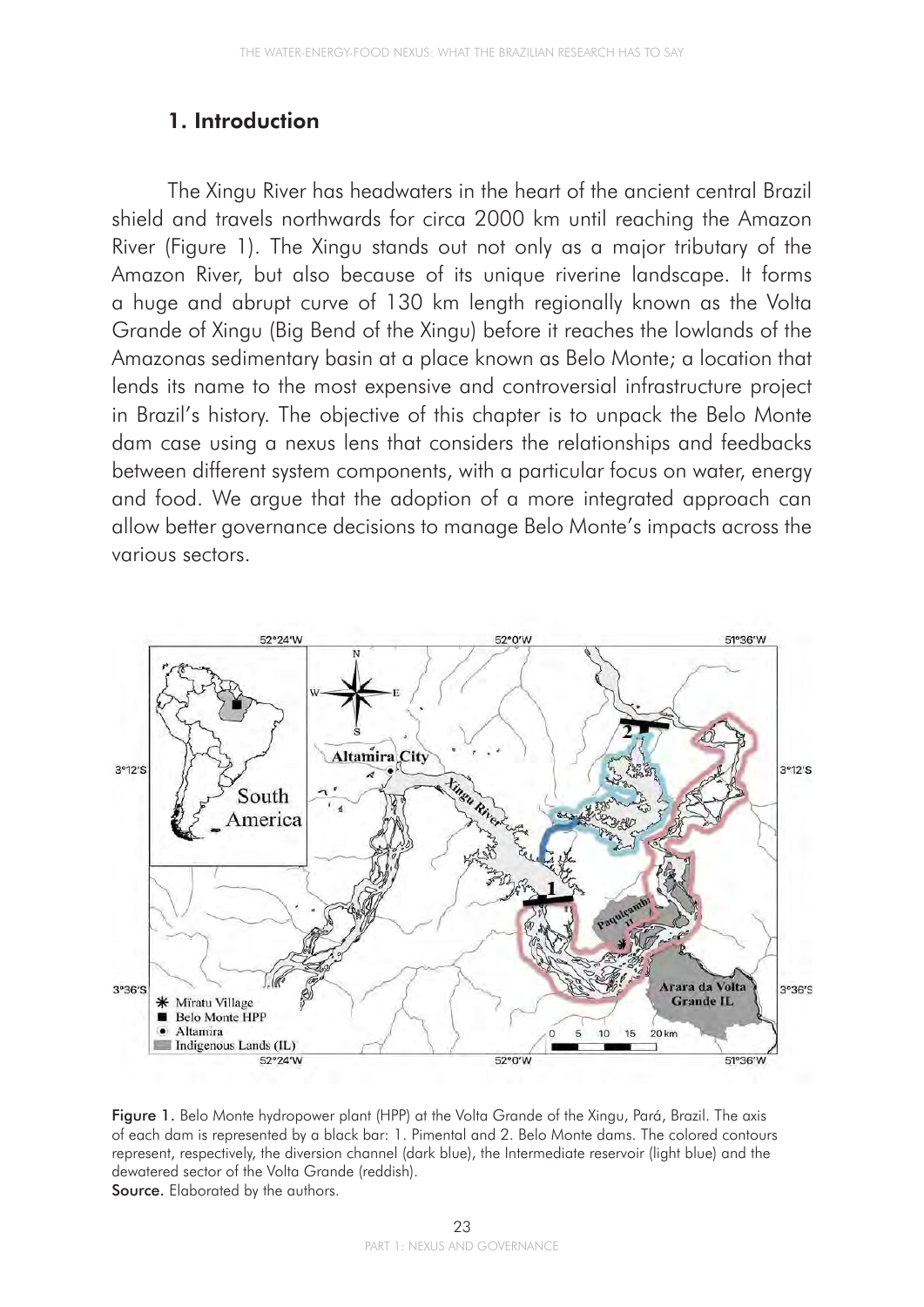#### 1. Introduction

The Xingu River has headwaters in the heart of the ancient central Brazil shield and travels northwards for circa 2000 km until reaching the Amazon River (Figure 1). The Xingu stands out not only as a major tributary of the Amazon River, but also because of its unique riverine landscape. It forms a huge and abrupt curve of 130 km length regionally known as the Volta Grande of Xingu (Big Bend of the Xingu) before it reaches the lowlands of the Amazonas sedimentary basin at a place known as Belo Monte; a location that lends its name to the most expensive and controversial infrastructure project in Brazil's history. The objective of this chapter is to unpack the Belo Monte dam case using a nexus lens that considers the relationships and feedbacks between different system components, with a particular focus on water, energy and food. We argue that the adoption of a more integrated approach can allow better governance decisions to manage Belo Monte's impacts across the various sectors.



Figure 1. Belo Monte hydropower plant (HPP) at the Volta Grande of the Xingu, Pará, Brazil. The axis of each dam is represented by a black bar: 1. Pimental and 2. Belo Monte dams. The colored contours represent, respectively, the diversion channel (dark blue), the Intermediate reservoir (light blue) and the dewatered sector of the Volta Grande (reddish). Source. Elaborated by the authors.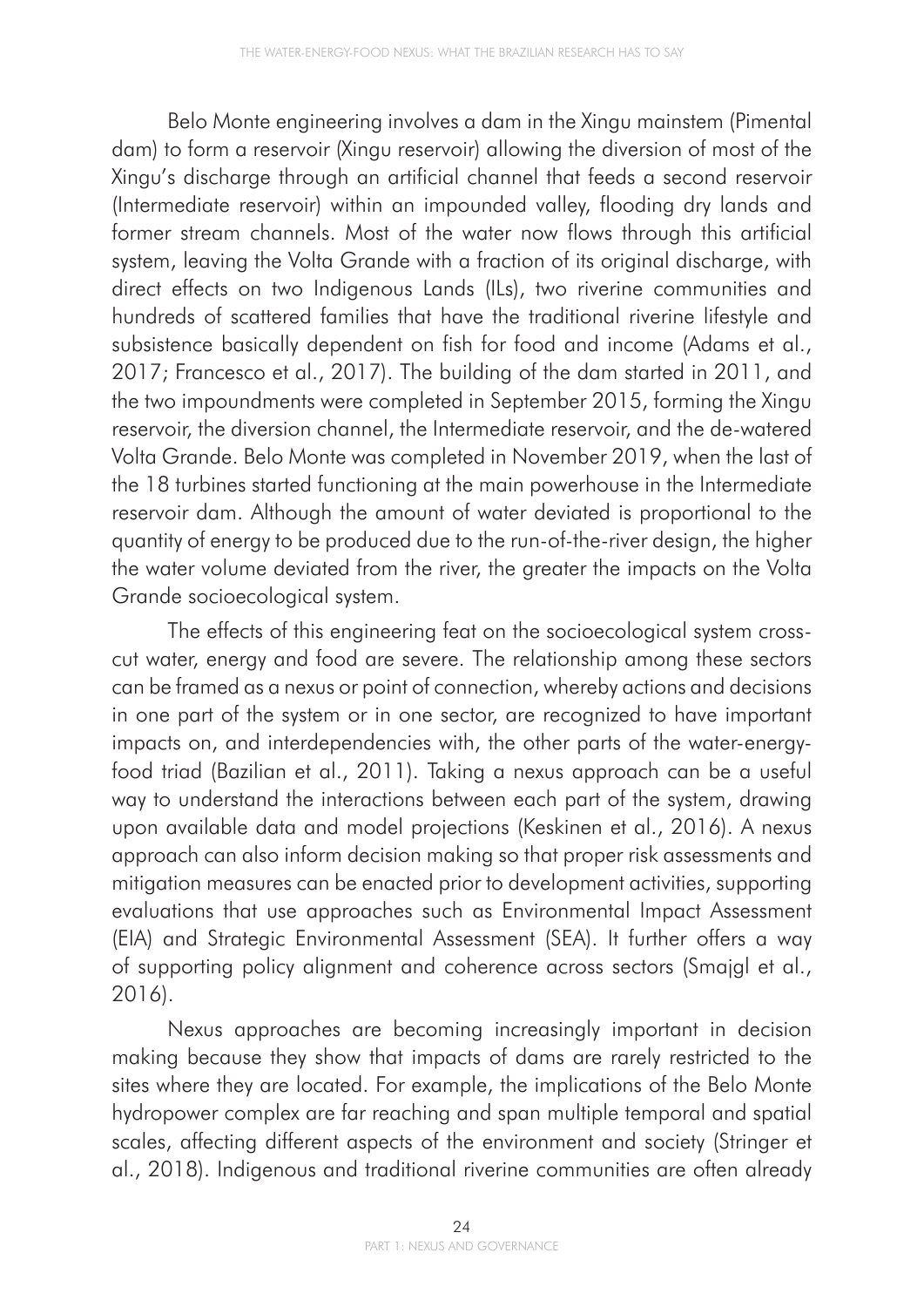Belo Monte engineering involves a dam in the Xingu mainstem (Pimental dam) to form a reservoir (Xingu reservoir) allowing the diversion of most of the Xingu's discharge through an artificial channel that feeds a second reservoir (Intermediate reservoir) within an impounded valley, flooding dry lands and former stream channels. Most of the water now flows through this artificial system, leaving the Volta Grande with a fraction of its original discharge, with direct effects on two Indigenous Lands (ILs), two riverine communities and hundreds of scattered families that have the traditional riverine lifestyle and subsistence basically dependent on fish for food and income (Adams et al., 2017; Francesco et al., 2017). The building of the dam started in 2011, and the two impoundments were completed in September 2015, forming the Xingu reservoir, the diversion channel, the Intermediate reservoir, and the de-watered Volta Grande. Belo Monte was completed in November 2019, when the last of the 18 turbines started functioning at the main powerhouse in the Intermediate reservoir dam. Although the amount of water deviated is proportional to the quantity of energy to be produced due to the run-of-the-river design, the higher the water volume deviated from the river, the greater the impacts on the Volta Grande socioecological system.

The effects of this engineering feat on the socioecological system crosscut water, energy and food are severe. The relationship among these sectors can be framed as a nexus or point of connection, whereby actions and decisions in one part of the system or in one sector, are recognized to have important impacts on, and interdependencies with, the other parts of the water-energyfood triad (Bazilian et al., 2011). Taking a nexus approach can be a useful way to understand the interactions between each part of the system, drawing upon available data and model projections (Keskinen et al., 2016). A nexus approach can also inform decision making so that proper risk assessments and mitigation measures can be enacted prior to development activities, supporting evaluations that use approaches such as Environmental Impact Assessment (EIA) and Strategic Environmental Assessment (SEA). It further offers a way of supporting policy alignment and coherence across sectors (Smajgl et al., 2016).

Nexus approaches are becoming increasingly important in decision making because they show that impacts of dams are rarely restricted to the sites where they are located. For example, the implications of the Belo Monte hydropower complex are far reaching and span multiple temporal and spatial scales, affecting different aspects of the environment and society (Stringer et al., 2018). Indigenous and traditional riverine communities are often already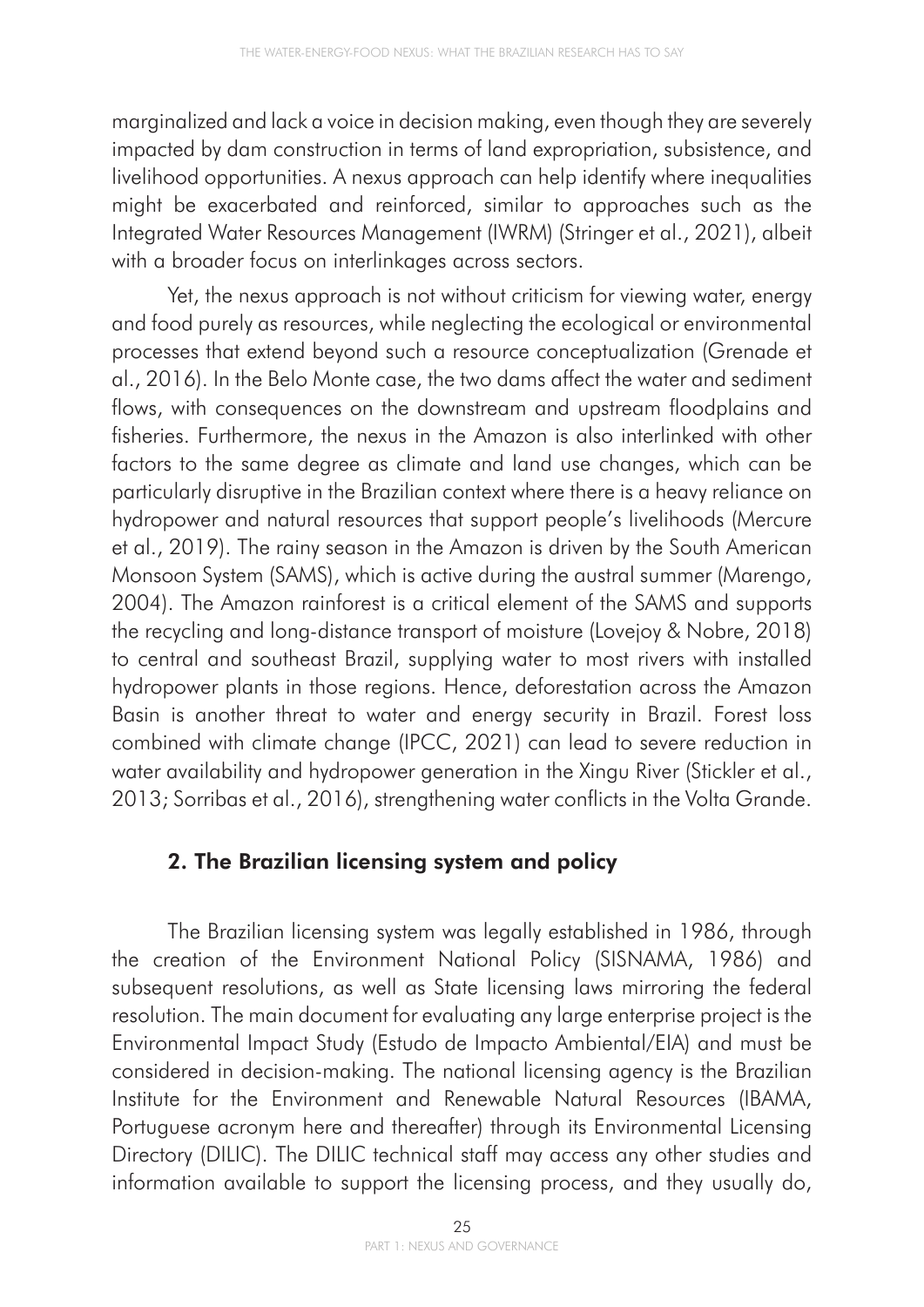marginalized and lack a voice in decision making, even though they are severely impacted by dam construction in terms of land expropriation, subsistence, and livelihood opportunities. A nexus approach can help identify where inequalities might be exacerbated and reinforced, similar to approaches such as the Integrated Water Resources Management (IWRM) (Stringer et al., 2021), albeit with a broader focus on interlinkages across sectors.

Yet, the nexus approach is not without criticism for viewing water, energy and food purely as resources, while neglecting the ecological or environmental processes that extend beyond such a resource conceptualization (Grenade et al., 2016). In the Belo Monte case, the two dams affect the water and sediment flows, with consequences on the downstream and upstream floodplains and fisheries. Furthermore, the nexus in the Amazon is also interlinked with other factors to the same degree as climate and land use changes, which can be particularly disruptive in the Brazilian context where there is a heavy reliance on hydropower and natural resources that support people's livelihoods (Mercure et al., 2019). The rainy season in the Amazon is driven by the South American Monsoon System (SAMS), which is active during the austral summer (Marengo, 2004). The Amazon rainforest is a critical element of the SAMS and supports the recycling and long-distance transport of moisture (Lovejoy & Nobre, 2018) to central and southeast Brazil, supplying water to most rivers with installed hydropower plants in those regions. Hence, deforestation across the Amazon Basin is another threat to water and energy security in Brazil. Forest loss combined with climate change (IPCC, 2021) can lead to severe reduction in water availability and hydropower generation in the Xingu River (Stickler et al., 2013; Sorribas et al., 2016), strengthening water conflicts in the Volta Grande.

### 2. The Brazilian licensing system and policy

The Brazilian licensing system was legally established in 1986, through the creation of the Environment National Policy (SISNAMA, 1986) and subsequent resolutions, as well as State licensing laws mirroring the federal resolution. The main document for evaluating any large enterprise project is the Environmental Impact Study (Estudo de Impacto Ambiental/EIA) and must be considered in decision-making. The national licensing agency is the Brazilian Institute for the Environment and Renewable Natural Resources (IBAMA, Portuguese acronym here and thereafter) through its Environmental Licensing Directory (DILIC). The DILIC technical staff may access any other studies and information available to support the licensing process, and they usually do,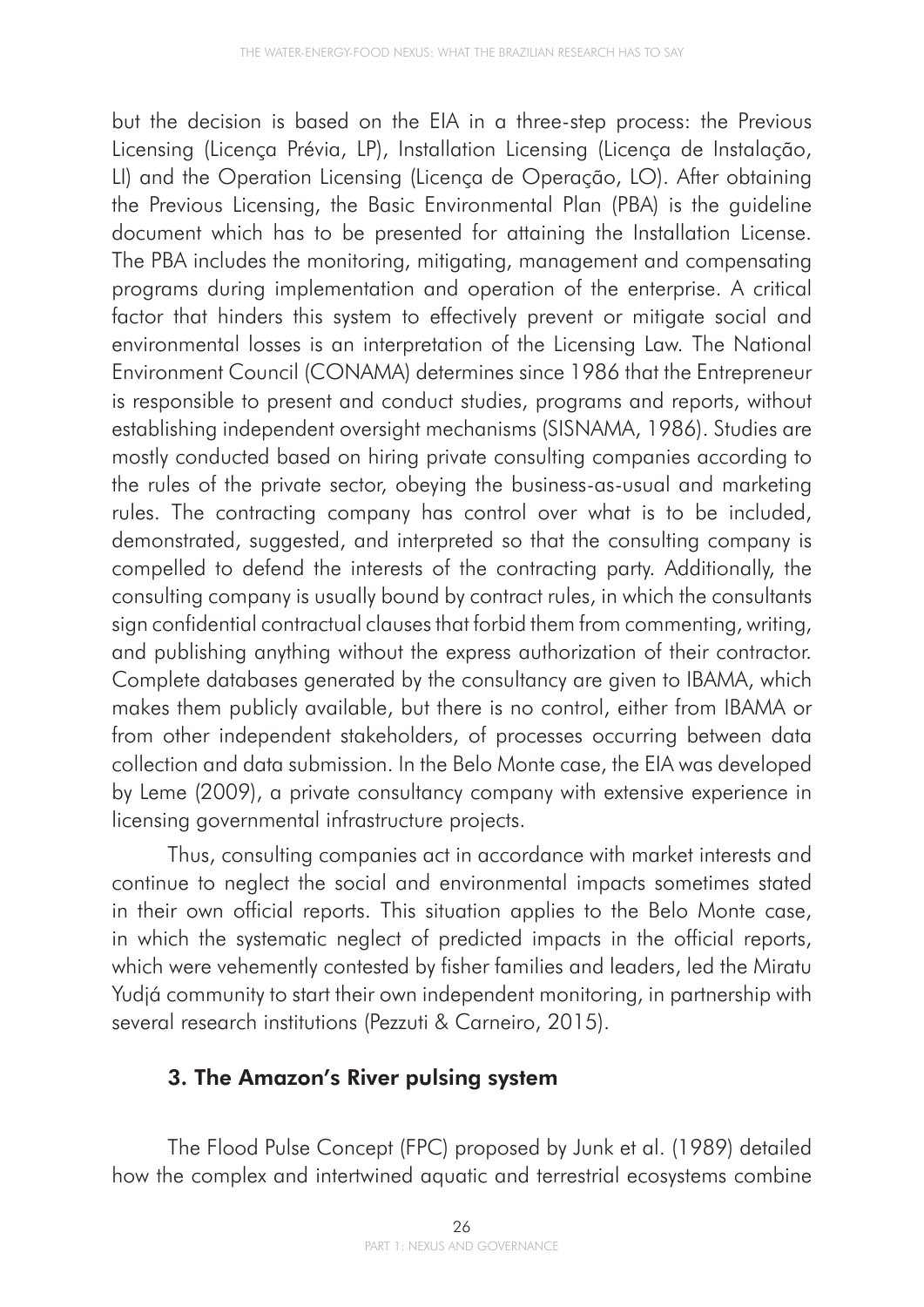but the decision is based on the EIA in a three-step process: the Previous Licensing (Licença Prévia, LP), Installation Licensing (Licença de Instalação, LI) and the Operation Licensing (Licença de Operação, LO). After obtaining the Previous Licensing, the Basic Environmental Plan (PBA) is the guideline document which has to be presented for attaining the Installation License. The PBA includes the monitoring, mitigating, management and compensating programs during implementation and operation of the enterprise. A critical factor that hinders this system to effectively prevent or mitigate social and environmental losses is an interpretation of the Licensing Law. The National Environment Council (CONAMA) determines since 1986 that the Entrepreneur is responsible to present and conduct studies, programs and reports, without establishing independent oversight mechanisms (SISNAMA, 1986). Studies are mostly conducted based on hiring private consulting companies according to the rules of the private sector, obeying the business-as-usual and marketing rules. The contracting company has control over what is to be included, demonstrated, suggested, and interpreted so that the consulting company is compelled to defend the interests of the contracting party. Additionally, the consulting company is usually bound by contract rules, in which the consultants sign confidential contractual clauses that forbid them from commenting, writing, and publishing anything without the express authorization of their contractor. Complete databases generated by the consultancy are given to IBAMA, which makes them publicly available, but there is no control, either from IBAMA or from other independent stakeholders, of processes occurring between data collection and data submission. In the Belo Monte case, the EIA was developed by Leme (2009), a private consultancy company with extensive experience in licensing governmental infrastructure projects.

Thus, consulting companies act in accordance with market interests and continue to neglect the social and environmental impacts sometimes stated in their own official reports. This situation applies to the Belo Monte case, in which the systematic neglect of predicted impacts in the official reports, which were vehemently contested by fisher families and leaders, led the Miratu Yudjá community to start their own independent monitoring, in partnership with several research institutions (Pezzuti & Carneiro, 2015).

# 3. The Amazon's River pulsing system

The Flood Pulse Concept (FPC) proposed by Junk et al. (1989) detailed how the complex and intertwined aquatic and terrestrial ecosystems combine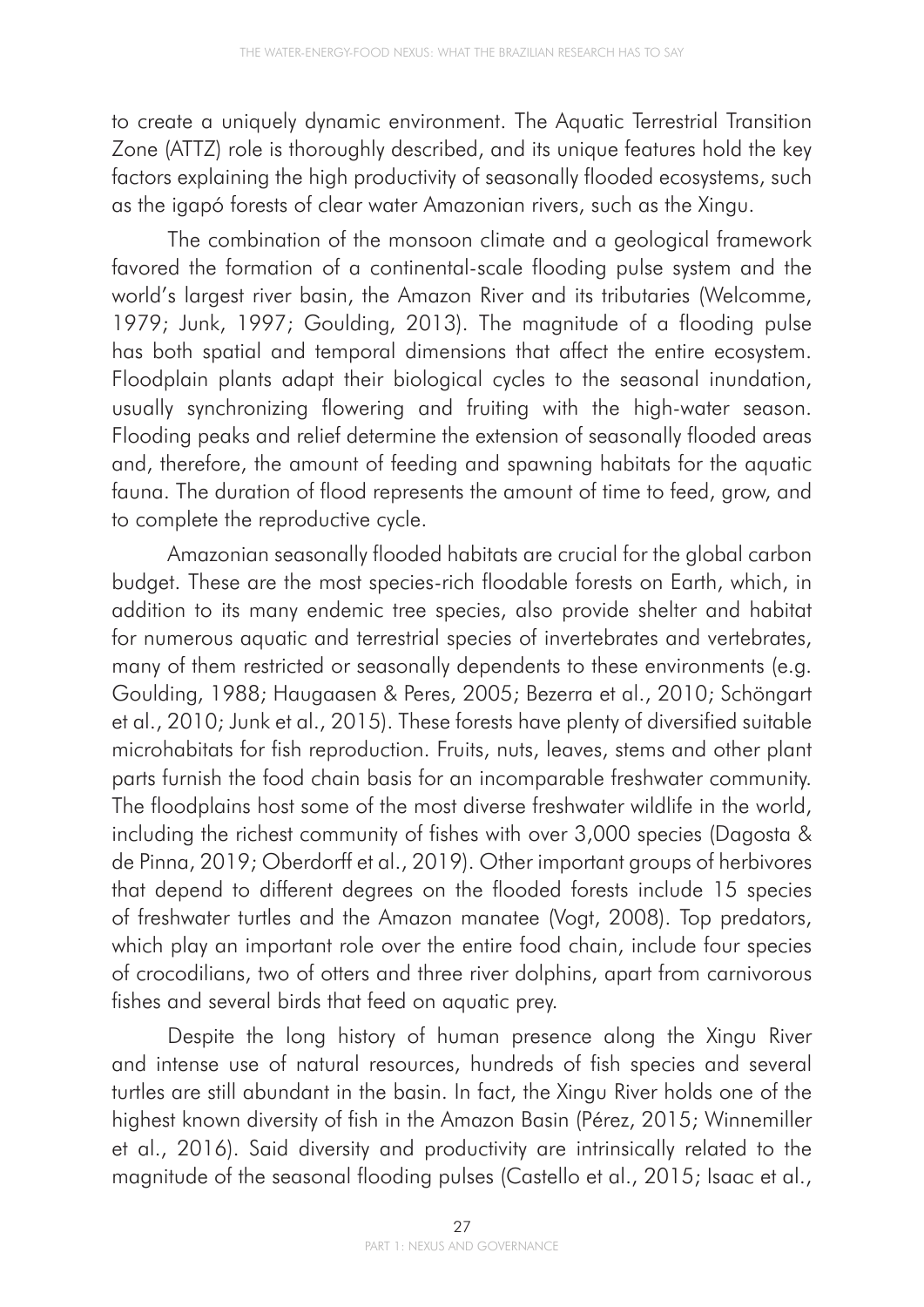to create a uniquely dynamic environment. The Aquatic Terrestrial Transition Zone (ATTZ) role is thoroughly described, and its unique features hold the key factors explaining the high productivity of seasonally flooded ecosystems, such as the igapó forests of clear water Amazonian rivers, such as the Xingu.

The combination of the monsoon climate and a geological framework favored the formation of a continental-scale flooding pulse system and the world's largest river basin, the Amazon River and its tributaries (Welcomme, 1979; Junk, 1997; Goulding, 2013). The magnitude of a flooding pulse has both spatial and temporal dimensions that affect the entire ecosystem. Floodplain plants adapt their biological cycles to the seasonal inundation, usually synchronizing flowering and fruiting with the high-water season. Flooding peaks and relief determine the extension of seasonally flooded areas and, therefore, the amount of feeding and spawning habitats for the aquatic fauna. The duration of flood represents the amount of time to feed, grow, and to complete the reproductive cycle.

Amazonian seasonally flooded habitats are crucial for the global carbon budget. These are the most species-rich floodable forests on Earth, which, in addition to its many endemic tree species, also provide shelter and habitat for numerous aquatic and terrestrial species of invertebrates and vertebrates, many of them restricted or seasonally dependents to these environments (e.g. Goulding, 1988; Haugaasen & Peres, 2005; Bezerra et al., 2010; Schöngart et al., 2010; Junk et al., 2015). These forests have plenty of diversified suitable microhabitats for fish reproduction. Fruits, nuts, leaves, stems and other plant parts furnish the food chain basis for an incomparable freshwater community. The floodplains host some of the most diverse freshwater wildlife in the world, including the richest community of fishes with over 3,000 species (Dagosta & de Pinna, 2019; Oberdorff et al., 2019). Other important groups of herbivores that depend to different degrees on the flooded forests include 15 species of freshwater turtles and the Amazon manatee (Vogt, 2008). Top predators, which play an important role over the entire food chain, include four species of crocodilians, two of otters and three river dolphins, apart from carnivorous fishes and several birds that feed on aquatic prey.

Despite the long history of human presence along the Xingu River and intense use of natural resources, hundreds of fish species and several turtles are still abundant in the basin. In fact, the Xingu River holds one of the highest known diversity of fish in the Amazon Basin (Pérez, 2015; Winnemiller et al., 2016). Said diversity and productivity are intrinsically related to the magnitude of the seasonal flooding pulses (Castello et al., 2015; Isaac et al.,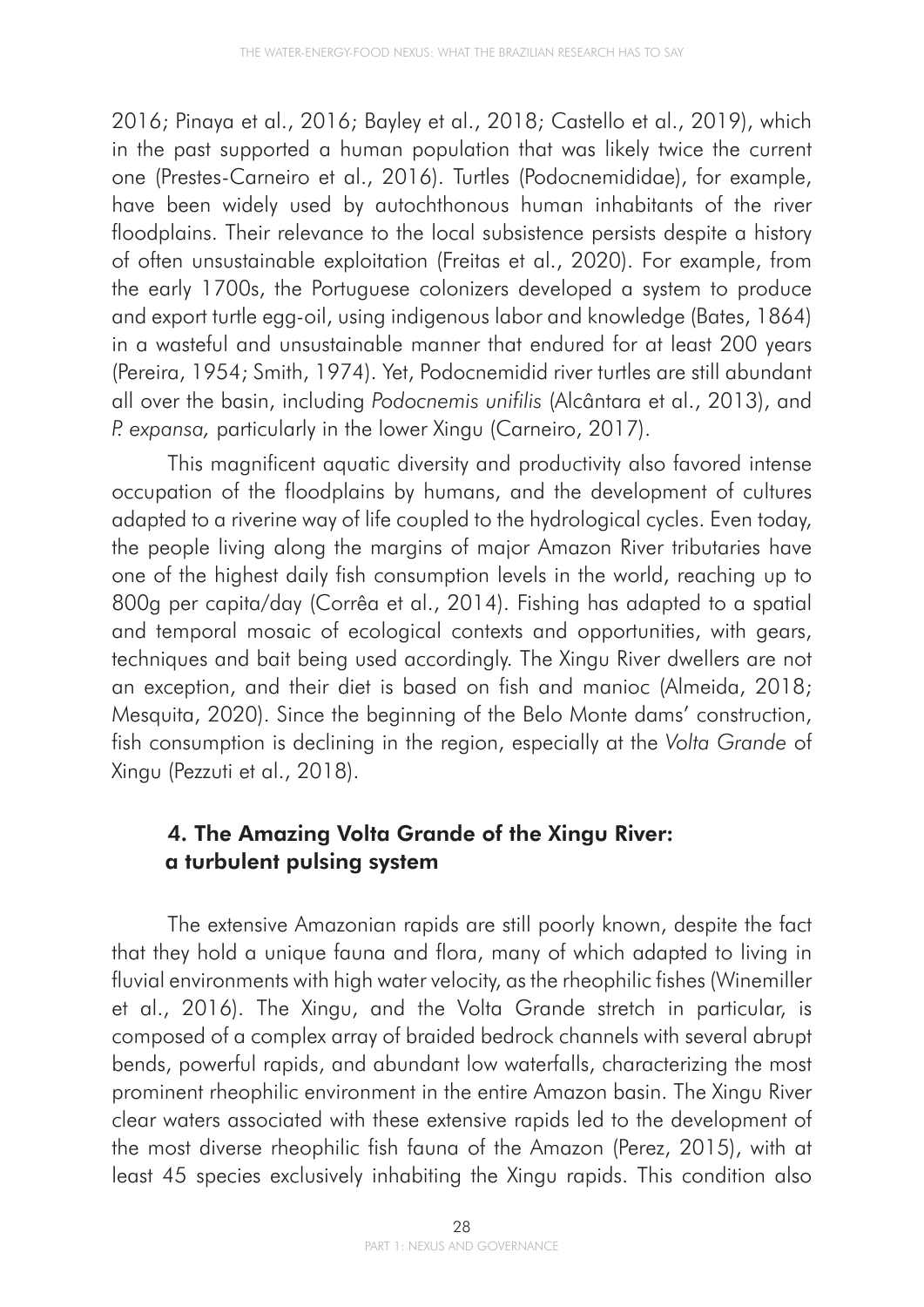2016; Pinaya et al., 2016; Bayley et al., 2018; Castello et al., 2019), which in the past supported a human population that was likely twice the current one (Prestes-Carneiro et al., 2016). Turtles (Podocnemididae), for example, have been widely used by autochthonous human inhabitants of the river floodplains. Their relevance to the local subsistence persists despite a history of often unsustainable exploitation (Freitas et al., 2020). For example, from the early 1700s, the Portuguese colonizers developed a system to produce and export turtle egg-oil, using indigenous labor and knowledge (Bates, 1864) in a wasteful and unsustainable manner that endured for at least 200 years (Pereira, 1954; Smith, 1974). Yet, Podocnemidid river turtles are still abundant all over the basin, including *Podocnemis unifilis* (Alcântara et al., 2013), and *P. expansa,* particularly in the lower Xingu (Carneiro, 2017).

This magnificent aquatic diversity and productivity also favored intense occupation of the floodplains by humans, and the development of cultures adapted to a riverine way of life coupled to the hydrological cycles. Even today, the people living along the margins of major Amazon River tributaries have one of the highest daily fish consumption levels in the world, reaching up to 800g per capita/day (Corrêa et al., 2014). Fishing has adapted to a spatial and temporal mosaic of ecological contexts and opportunities, with gears, techniques and bait being used accordingly. The Xingu River dwellers are not an exception, and their diet is based on fish and manioc (Almeida, 2018; Mesquita, 2020). Since the beginning of the Belo Monte dams' construction, fish consumption is declining in the region, especially at the *Volta Grande* of Xingu (Pezzuti et al., 2018).

## 4. The Amazing Volta Grande of the Xingu River: a turbulent pulsing system

The extensive Amazonian rapids are still poorly known, despite the fact that they hold a unique fauna and flora, many of which adapted to living in fluvial environments with high water velocity, as the rheophilic fishes (Winemiller et al., 2016). The Xingu, and the Volta Grande stretch in particular, is composed of a complex array of braided bedrock channels with several abrupt bends, powerful rapids, and abundant low waterfalls, characterizing the most prominent rheophilic environment in the entire Amazon basin. The Xingu River clear waters associated with these extensive rapids led to the development of the most diverse rheophilic fish fauna of the Amazon (Perez, 2015), with at least 45 species exclusively inhabiting the Xingu rapids. This condition also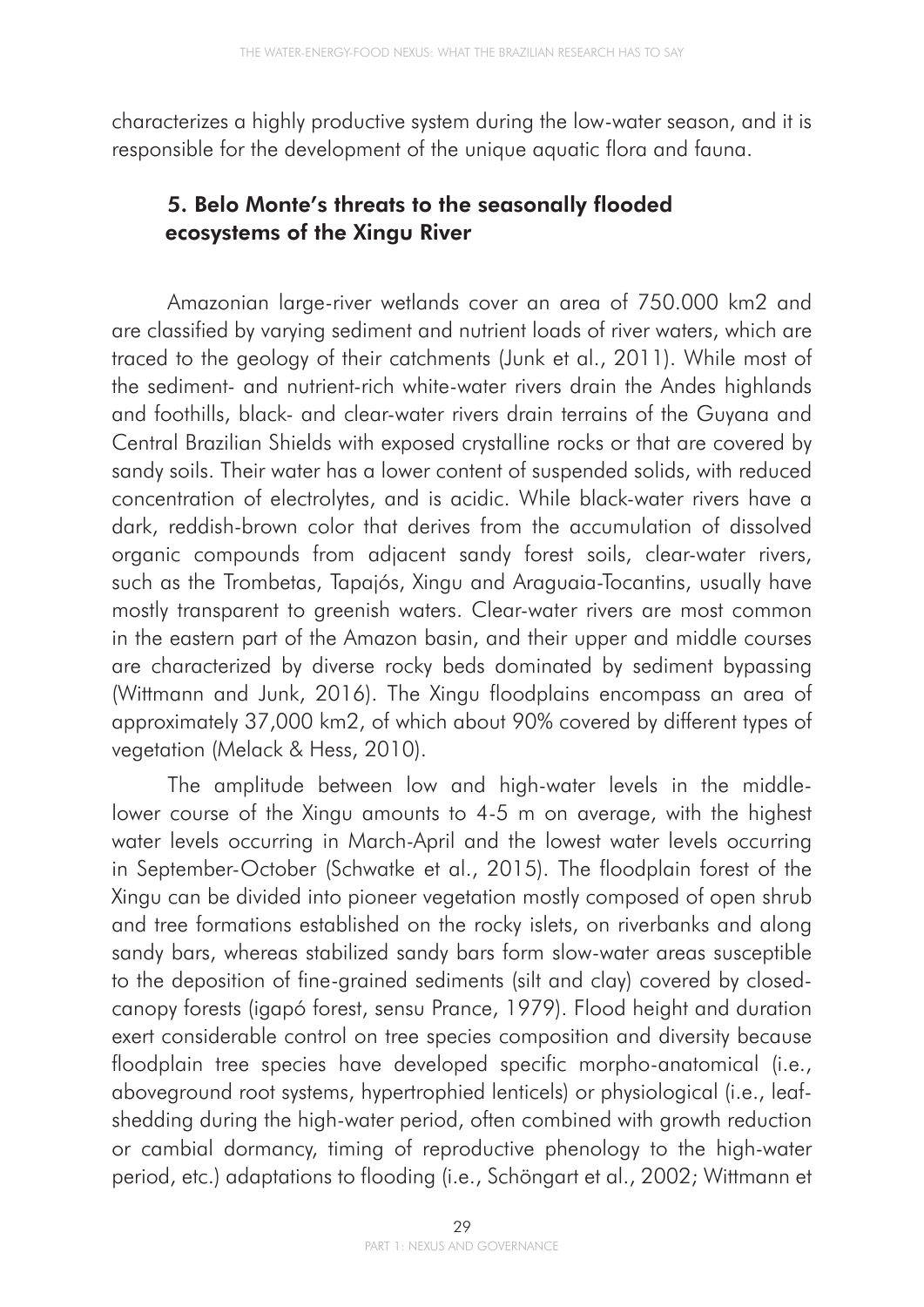characterizes a highly productive system during the low-water season, and it is responsible for the development of the unique aquatic flora and fauna.

### 5. Belo Monte's threats to the seasonally flooded ecosystems of the Xingu River

Amazonian large-river wetlands cover an area of 750.000 km2 and are classified by varying sediment and nutrient loads of river waters, which are traced to the geology of their catchments (Junk et al., 2011). While most of the sediment- and nutrient-rich white-water rivers drain the Andes highlands and foothills, black- and clear-water rivers drain terrains of the Guyana and Central Brazilian Shields with exposed crystalline rocks or that are covered by sandy soils. Their water has a lower content of suspended solids, with reduced concentration of electrolytes, and is acidic. While black-water rivers have a dark, reddish-brown color that derives from the accumulation of dissolved organic compounds from adjacent sandy forest soils, clear-water rivers, such as the Trombetas, Tapajós, Xingu and Araguaia-Tocantins, usually have mostly transparent to greenish waters. Clear-water rivers are most common in the eastern part of the Amazon basin, and their upper and middle courses are characterized by diverse rocky beds dominated by sediment bypassing (Wittmann and Junk, 2016). The Xingu floodplains encompass an area of approximately 37,000 km2, of which about 90% covered by different types of vegetation (Melack & Hess, 2010).

The amplitude between low and high-water levels in the middlelower course of the Xingu amounts to 4-5 m on average, with the highest water levels occurring in March-April and the lowest water levels occurring in September-October (Schwatke et al., 2015). The floodplain forest of the Xingu can be divided into pioneer vegetation mostly composed of open shrub and tree formations established on the rocky islets, on riverbanks and along sandy bars, whereas stabilized sandy bars form slow-water areas susceptible to the deposition of fine-grained sediments (silt and clay) covered by closedcanopy forests (igapó forest, sensu Prance, 1979). Flood height and duration exert considerable control on tree species composition and diversity because floodplain tree species have developed specific morpho-anatomical (i.e., aboveground root systems, hypertrophied lenticels) or physiological (i.e., leafshedding during the high-water period, often combined with growth reduction or cambial dormancy, timing of reproductive phenology to the high-water period, etc.) adaptations to flooding (i.e., Schöngart et al., 2002; Wittmann et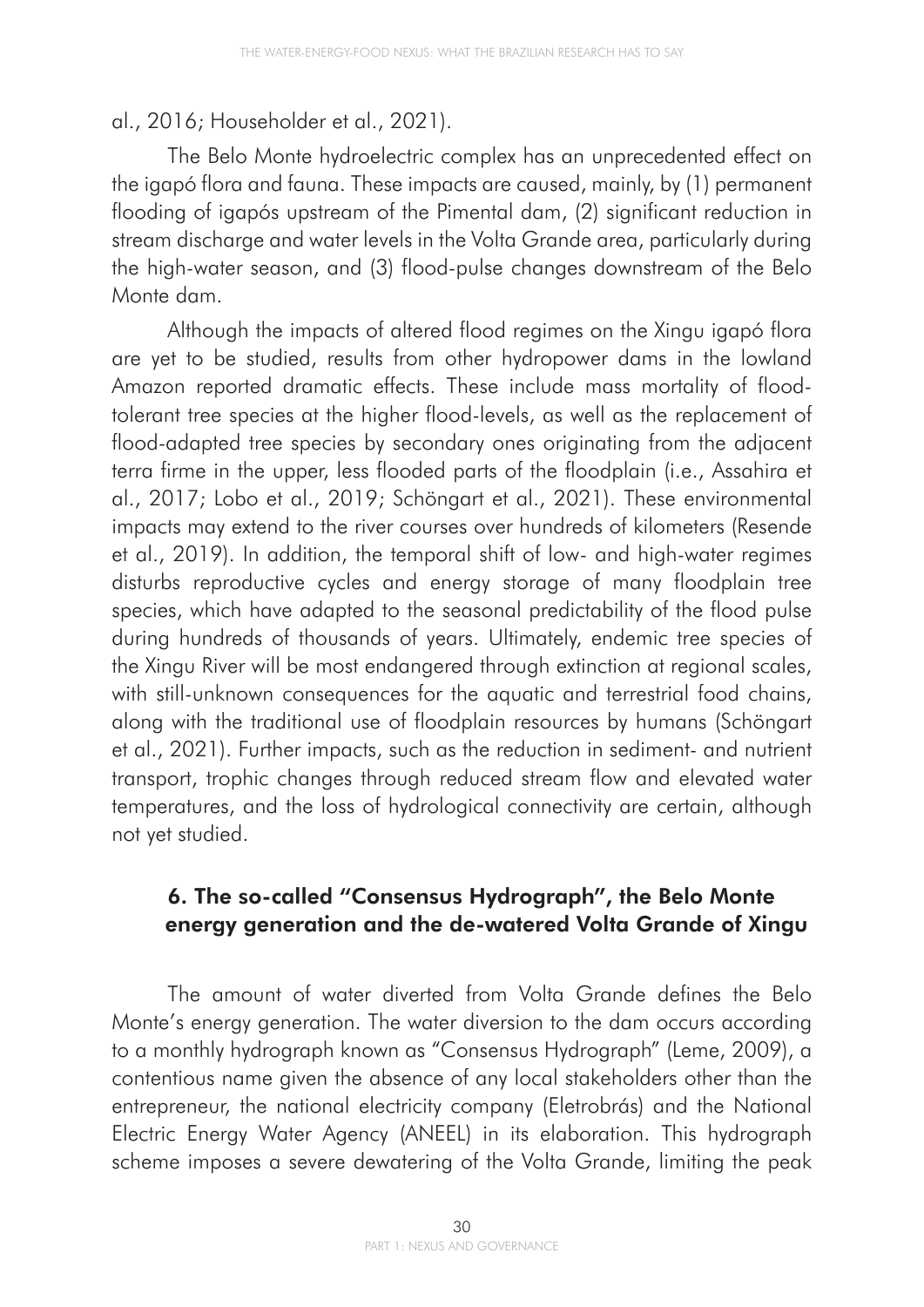#### al., 2016; Householder et al., 2021).

The Belo Monte hydroelectric complex has an unprecedented effect on the igapó flora and fauna. These impacts are caused, mainly, by (1) permanent flooding of igapós upstream of the Pimental dam, (2) significant reduction in stream discharge and water levels in the Volta Grande area, particularly during the high-water season, and (3) flood-pulse changes downstream of the Belo Monte dam.

Although the impacts of altered flood regimes on the Xingu igapó flora are yet to be studied, results from other hydropower dams in the lowland Amazon reported dramatic effects. These include mass mortality of floodtolerant tree species at the higher flood-levels, as well as the replacement of flood-adapted tree species by secondary ones originating from the adjacent terra firme in the upper, less flooded parts of the floodplain (i.e., Assahira et al., 2017; Lobo et al., 2019; Schöngart et al., 2021). These environmental impacts may extend to the river courses over hundreds of kilometers (Resende et al., 2019). In addition, the temporal shift of low- and high-water regimes disturbs reproductive cycles and energy storage of many floodplain tree species, which have adapted to the seasonal predictability of the flood pulse during hundreds of thousands of years. Ultimately, endemic tree species of the Xingu River will be most endangered through extinction at regional scales, with still-unknown consequences for the aquatic and terrestrial food chains, along with the traditional use of floodplain resources by humans (Schöngart et al., 2021). Further impacts, such as the reduction in sediment- and nutrient transport, trophic changes through reduced stream flow and elevated water temperatures, and the loss of hydrological connectivity are certain, although not yet studied.

## 6. The so-called "Consensus Hydrograph", the Belo Monte energy generation and the de-watered Volta Grande of Xingu

The amount of water diverted from Volta Grande defines the Belo Monte's energy generation. The water diversion to the dam occurs according to a monthly hydrograph known as "Consensus Hydrograph" (Leme, 2009), a contentious name given the absence of any local stakeholders other than the entrepreneur, the national electricity company (Eletrobrás) and the National Electric Energy Water Agency (ANEEL) in its elaboration. This hydrograph scheme imposes a severe dewatering of the Volta Grande, limiting the peak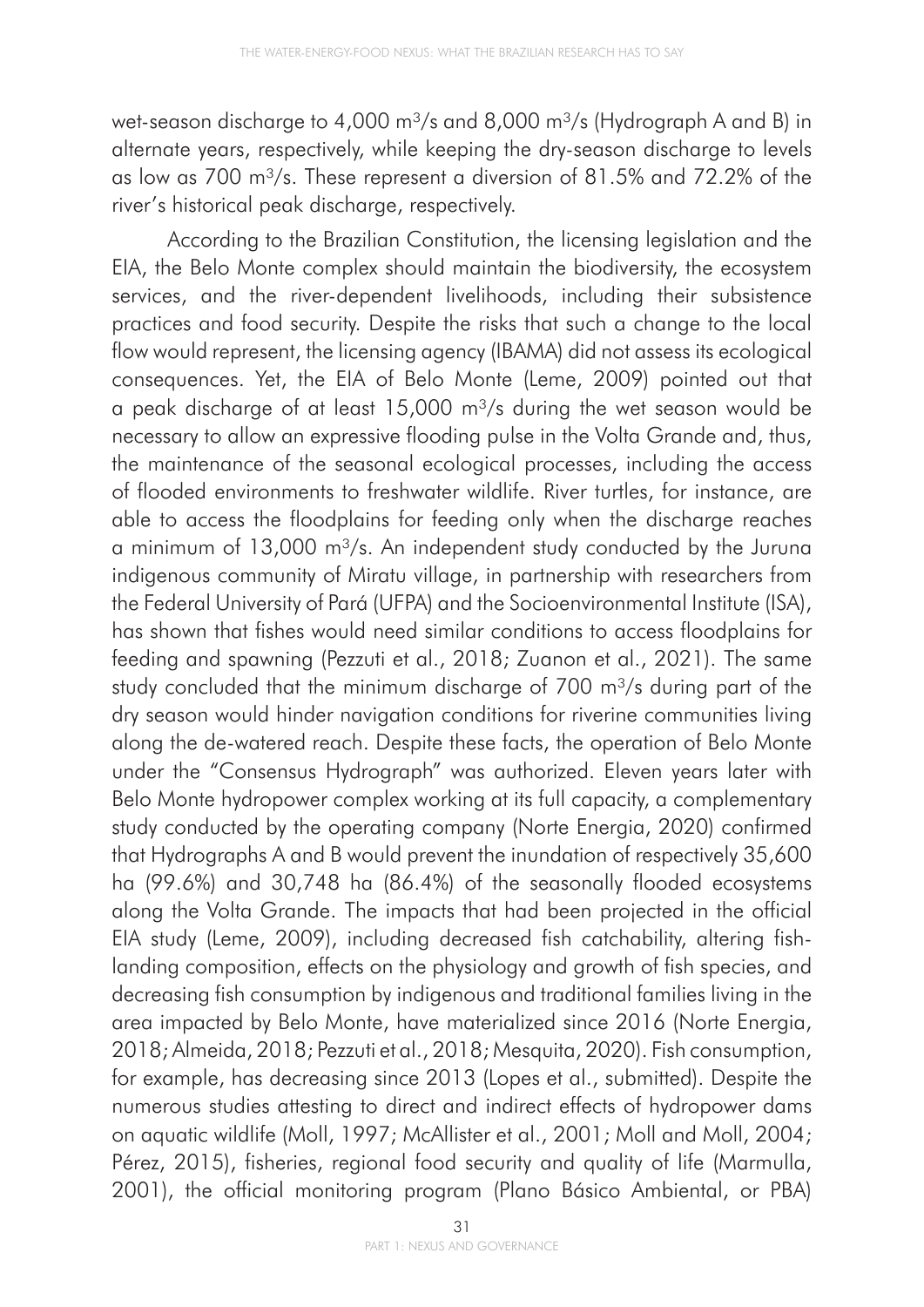wet-season discharge to 4,000 m<sup>3</sup>/s and 8,000 m<sup>3</sup>/s (Hydrograph A and B) in alternate years, respectively, while keeping the dry-season discharge to levels as low as 700 m<sup>3</sup>/s. These represent a diversion of 81.5% and 72.2% of the river's historical peak discharge, respectively.

According to the Brazilian Constitution, the licensing legislation and the EIA, the Belo Monte complex should maintain the biodiversity, the ecosystem services, and the river-dependent livelihoods, including their subsistence practices and food security. Despite the risks that such a change to the local flow would represent, the licensing agency (IBAMA) did not assess its ecological consequences. Yet, the EIA of Belo Monte (Leme, 2009) pointed out that a peak discharge of at least  $15,000$  m<sup>3</sup>/s during the wet season would be necessary to allow an expressive flooding pulse in the Volta Grande and, thus, the maintenance of the seasonal ecological processes, including the access of flooded environments to freshwater wildlife. River turtles, for instance, are able to access the floodplains for feeding only when the discharge reaches a minimum of  $13,000$  m<sup>3</sup>/s. An independent study conducted by the Juruna indigenous community of Miratu village, in partnership with researchers from the Federal University of Pará (UFPA) and the Socioenvironmental Institute (ISA), has shown that fishes would need similar conditions to access floodplains for feeding and spawning (Pezzuti et al., 2018; Zuanon et al., 2021). The same study concluded that the minimum discharge of  $700$  m $\frac{3}{s}$  during part of the dry season would hinder navigation conditions for riverine communities living along the de-watered reach. Despite these facts, the operation of Belo Monte under the "Consensus Hydrograph" was authorized. Eleven years later with Belo Monte hydropower complex working at its full capacity, a complementary study conducted by the operating company (Norte Energia, 2020) confirmed that Hydrographs A and B would prevent the inundation of respectively 35,600 ha (99.6%) and 30,748 ha (86.4%) of the seasonally flooded ecosystems along the Volta Grande. The impacts that had been projected in the official EIA study (Leme, 2009), including decreased fish catchability, altering fishlanding composition, effects on the physiology and growth of fish species, and decreasing fish consumption by indigenous and traditional families living in the area impacted by Belo Monte, have materialized since 2016 (Norte Energia, 2018; Almeida, 2018; Pezzuti et al., 2018; Mesquita, 2020). Fish consumption, for example, has decreasing since 2013 (Lopes et al., submitted). Despite the numerous studies attesting to direct and indirect effects of hydropower dams on aquatic wildlife (Moll, 1997; McAllister et al., 2001; Moll and Moll, 2004; Pérez, 2015), fisheries, regional food security and quality of life (Marmulla, 2001), the official monitoring program (Plano Básico Ambiental, or PBA)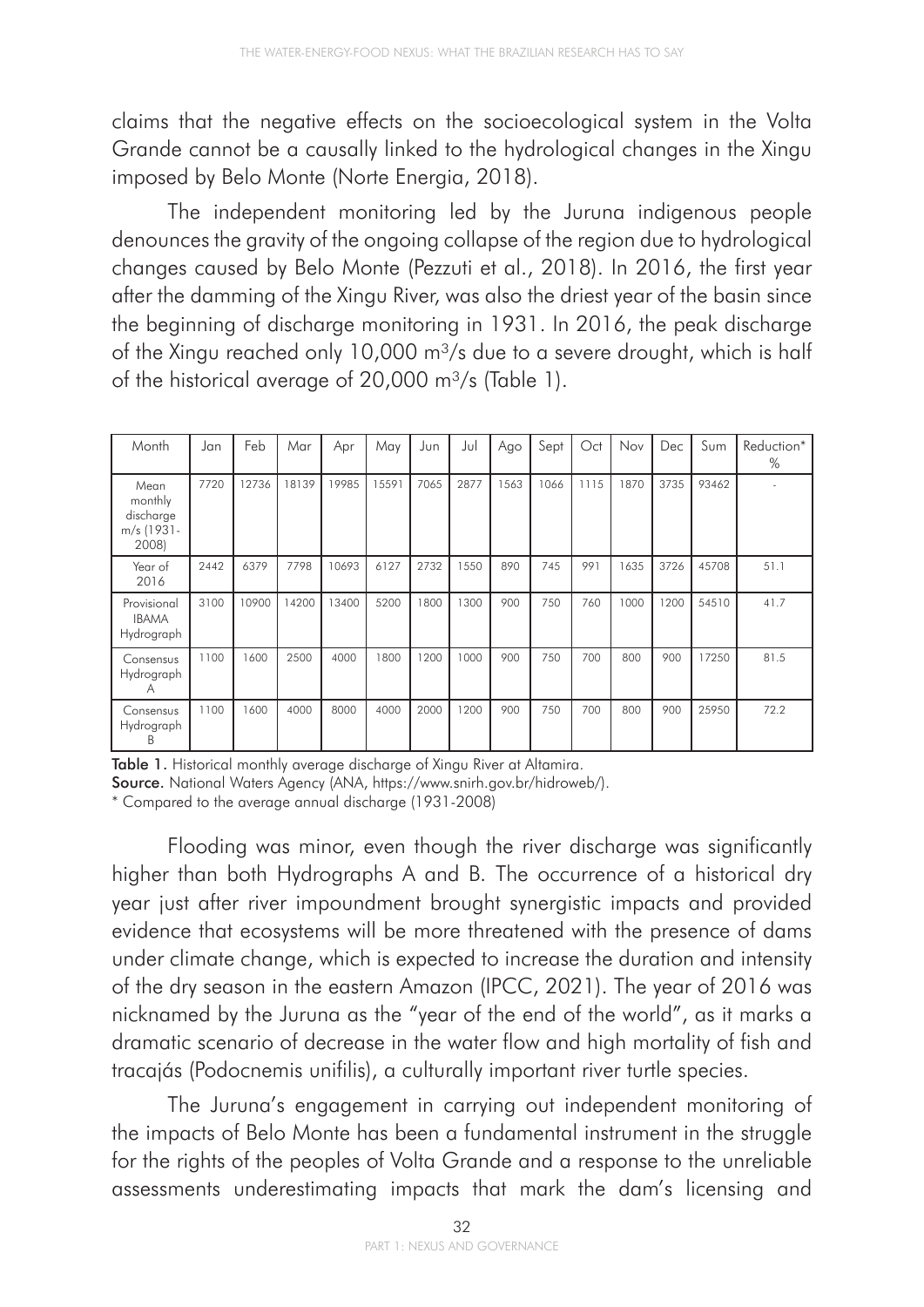claims that the negative effects on the socioecological system in the Volta Grande cannot be a causally linked to the hydrological changes in the Xingu imposed by Belo Monte (Norte Energia, 2018).

The independent monitoring led by the Juruna indigenous people denounces the gravity of the ongoing collapse of the region due to hydrological changes caused by Belo Monte (Pezzuti et al., 2018). In 2016, the first year after the damming of the Xingu River, was also the driest year of the basin since the beginning of discharge monitoring in 1931. In 2016, the peak discharge of the Xingu reached only 10,000  $m^3/s$  due to a severe drought, which is half of the historical average of 20,000  $\text{m}^3\text{/s}$  (Table 1).

| Month                                               | Jan  | Feb   | Mar   | Apr   | May   | Jun  | Jul  | Ago | Sept | Oct  | Nov  | Dec  | Sum   | Reduction*<br>% |
|-----------------------------------------------------|------|-------|-------|-------|-------|------|------|-----|------|------|------|------|-------|-----------------|
| Mean<br>monthly<br>discharge<br>m/s (1931-<br>2008) | 7720 | 12736 | 18139 | 19985 | 15591 | 7065 | 2877 | 563 | 1066 | 1115 | 1870 | 3735 | 93462 |                 |
| Year of<br>2016                                     | 2442 | 6379  | 7798  | 10693 | 6127  | 2732 | 1550 | 890 | 745  | 991  | 1635 | 3726 | 45708 | 51.1            |
| Provisional<br><b>IBAMA</b><br>Hydrograph           | 3100 | 10900 | 14200 | 13400 | 5200  | 1800 | 1300 | 900 | 750  | 760  | 1000 | 1200 | 54510 | 41.7            |
| Consensus<br>Hydrograph<br>A                        | 1100 | 1600  | 2500  | 4000  | 1800  | 1200 | 1000 | 900 | 750  | 700  | 800  | 900  | 17250 | 81.5            |
| Consensus<br>Hydrograph<br>B                        | 1100 | 1600  | 4000  | 8000  | 4000  | 2000 | 1200 | 900 | 750  | 700  | 800  | 900  | 25950 | 72.2            |

Table 1. Historical monthly average discharge of Xingu River at Altamira.

Source. National Waters Agency (ANA, https://www.snirh.gov.br/hidroweb/).

\* Compared to the average annual discharge (1931-2008)

Flooding was minor, even though the river discharge was significantly higher than both Hydrographs A and B. The occurrence of a historical dry year just after river impoundment brought synergistic impacts and provided evidence that ecosystems will be more threatened with the presence of dams under climate change, which is expected to increase the duration and intensity of the dry season in the eastern Amazon (IPCC, 2021). The year of 2016 was nicknamed by the Juruna as the "year of the end of the world", as it marks a dramatic scenario of decrease in the water flow and high mortality of fish and tracajás (Podocnemis unifilis), a culturally important river turtle species.

The Juruna's engagement in carrying out independent monitoring of the impacts of Belo Monte has been a fundamental instrument in the struggle for the rights of the peoples of Volta Grande and a response to the unreliable assessments underestimating impacts that mark the dam's licensing and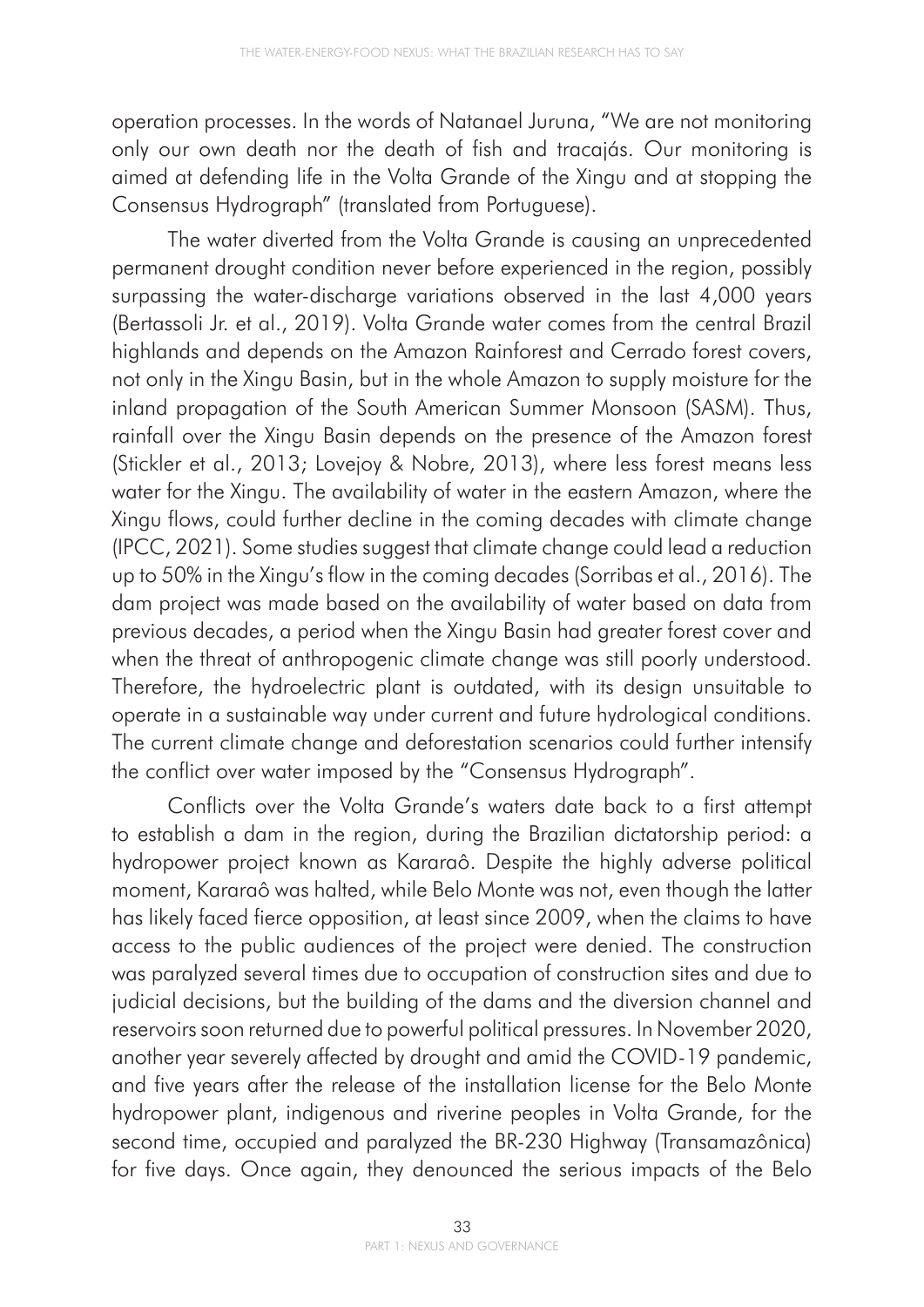operation processes. In the words of Natanael Juruna, "We are not monitoring only our own death nor the death of fish and tracajás. Our monitoring is aimed at defending life in the Volta Grande of the Xingu and at stopping the Consensus Hydrograph" (translated from Portuguese).

The water diverted from the Volta Grande is causing an unprecedented permanent drought condition never before experienced in the region, possibly surpassing the water-discharge variations observed in the last 4,000 years (Bertassoli Jr. et al., 2019). Volta Grande water comes from the central Brazil highlands and depends on the Amazon Rainforest and Cerrado forest covers, not only in the Xingu Basin, but in the whole Amazon to supply moisture for the inland propagation of the South American Summer Monsoon (SASM). Thus, rainfall over the Xingu Basin depends on the presence of the Amazon forest (Stickler et al., 2013; Lovejoy & Nobre, 2013), where less forest means less water for the Xingu. The availability of water in the eastern Amazon, where the Xingu flows, could further decline in the coming decades with climate change (IPCC, 2021). Some studies suggest that climate change could lead a reduction up to 50% in the Xingu's flow in the coming decades (Sorribas et al., 2016). The dam project was made based on the availability of water based on data from previous decades, a period when the Xingu Basin had greater forest cover and when the threat of anthropogenic climate change was still poorly understood. Therefore, the hydroelectric plant is outdated, with its design unsuitable to operate in a sustainable way under current and future hydrological conditions. The current climate change and deforestation scenarios could further intensify the conflict over water imposed by the "Consensus Hydrograph".

Conflicts over the Volta Grande's waters date back to a first attempt to establish a dam in the region, during the Brazilian dictatorship period: a hydropower project known as Kararaô. Despite the highly adverse political moment, Kararaô was halted, while Belo Monte was not, even though the latter has likely faced fierce opposition, at least since 2009, when the claims to have access to the public audiences of the project were denied. The construction was paralyzed several times due to occupation of construction sites and due to judicial decisions, but the building of the dams and the diversion channel and reservoirs soon returned due to powerful political pressures. In November 2020, another year severely affected by drought and amid the COVID-19 pandemic, and five years after the release of the installation license for the Belo Monte hydropower plant, indigenous and riverine peoples in Volta Grande, for the second time, occupied and paralyzed the BR-230 Highway (Transamazônica) for five days. Once again, they denounced the serious impacts of the Belo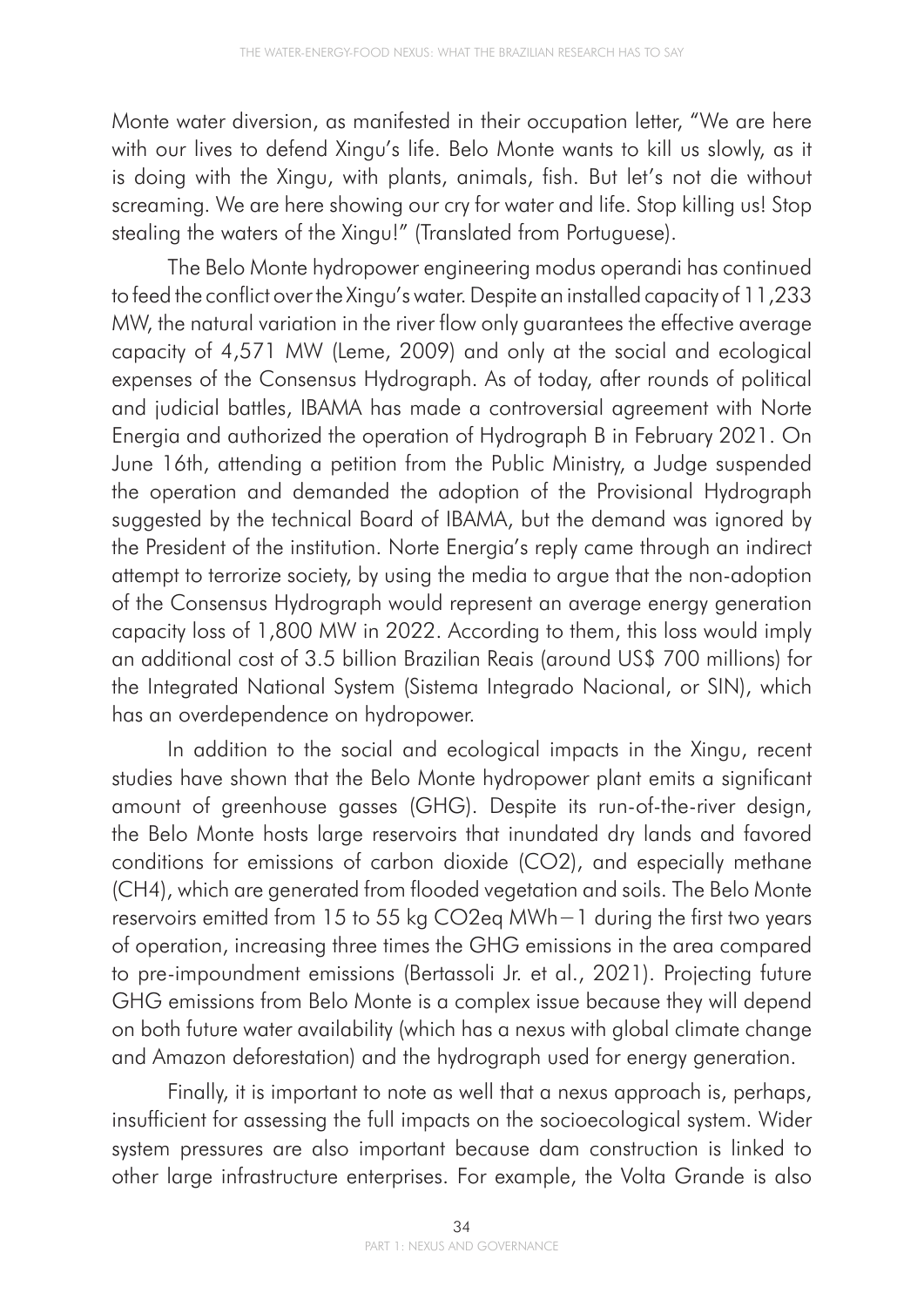Monte water diversion, as manifested in their occupation letter, "We are here with our lives to defend Xingu's life. Belo Monte wants to kill us slowly, as it is doing with the Xingu, with plants, animals, fish. But let's not die without screaming. We are here showing our cry for water and life. Stop killing us! Stop stealing the waters of the Xingu!" (Translated from Portuguese).

The Belo Monte hydropower engineering modus operandi has continued to feed the conflict over the Xingu's water. Despite an installed capacity of 11,233 MW, the natural variation in the river flow only guarantees the effective average capacity of 4,571 MW (Leme, 2009) and only at the social and ecological expenses of the Consensus Hydrograph. As of today, after rounds of political and judicial battles, IBAMA has made a controversial agreement with Norte Energia and authorized the operation of Hydrograph B in February 2021. On June 16th, attending a petition from the Public Ministry, a Judge suspended the operation and demanded the adoption of the Provisional Hydrograph suggested by the technical Board of IBAMA, but the demand was ignored by the President of the institution. Norte Energia's reply came through an indirect attempt to terrorize society, by using the media to argue that the non-adoption of the Consensus Hydrograph would represent an average energy generation capacity loss of 1,800 MW in 2022. According to them, this loss would imply an additional cost of 3.5 billion Brazilian Reais (around US\$ 700 millions) for the Integrated National System (Sistema Integrado Nacional, or SIN), which has an overdependence on hydropower.

In addition to the social and ecological impacts in the Xingu, recent studies have shown that the Belo Monte hydropower plant emits a significant amount of greenhouse gasses (GHG). Despite its run-of-the-river design, the Belo Monte hosts large reservoirs that inundated dry lands and favored conditions for emissions of carbon dioxide (CO2), and especially methane (CH4), which are generated from flooded vegetation and soils. The Belo Monte reservoirs emitted from 15 to 55 kg CO2eq MWh−1 during the first two years of operation, increasing three times the GHG emissions in the area compared to pre-impoundment emissions (Bertassoli Jr. et al., 2021). Projecting future GHG emissions from Belo Monte is a complex issue because they will depend on both future water availability (which has a nexus with global climate change and Amazon deforestation) and the hydrograph used for energy generation.

Finally, it is important to note as well that a nexus approach is, perhaps, insufficient for assessing the full impacts on the socioecological system. Wider system pressures are also important because dam construction is linked to other large infrastructure enterprises. For example, the Volta Grande is also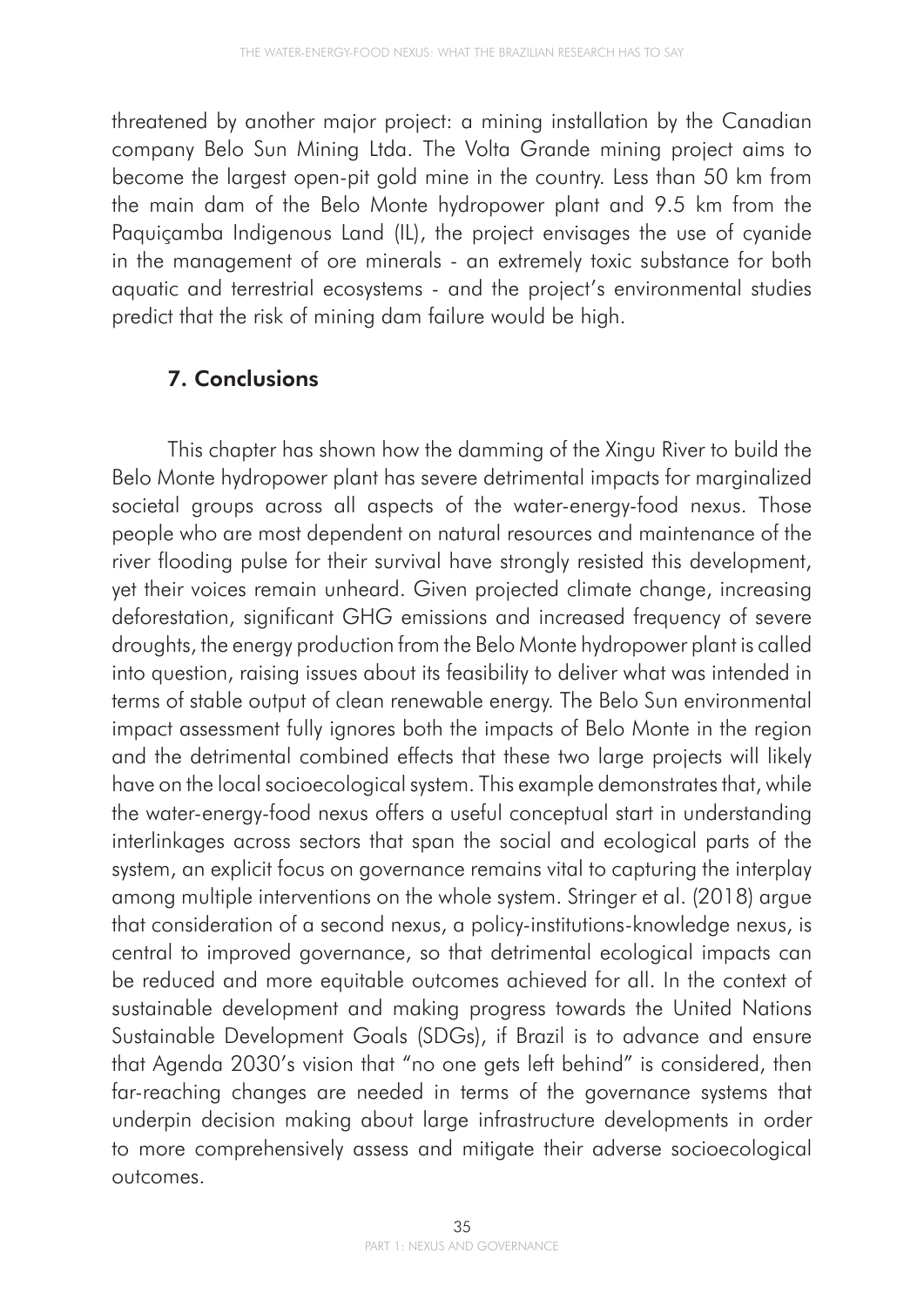threatened by another major project: a mining installation by the Canadian company Belo Sun Mining Ltda. The Volta Grande mining project aims to become the largest open-pit gold mine in the country. Less than 50 km from the main dam of the Belo Monte hydropower plant and 9.5 km from the Paquiçamba Indigenous Land (IL), the project envisages the use of cyanide in the management of ore minerals - an extremely toxic substance for both aquatic and terrestrial ecosystems - and the project's environmental studies predict that the risk of mining dam failure would be high.

### 7. Conclusions

This chapter has shown how the damming of the Xingu River to build the Belo Monte hydropower plant has severe detrimental impacts for marginalized societal groups across all aspects of the water-energy-food nexus. Those people who are most dependent on natural resources and maintenance of the river flooding pulse for their survival have strongly resisted this development, yet their voices remain unheard. Given projected climate change, increasing deforestation, significant GHG emissions and increased frequency of severe droughts, the energy production from the Belo Monte hydropower plant is called into question, raising issues about its feasibility to deliver what was intended in terms of stable output of clean renewable energy. The Belo Sun environmental impact assessment fully ignores both the impacts of Belo Monte in the region and the detrimental combined effects that these two large projects will likely have on the local socioecological system. This example demonstrates that, while the water-energy-food nexus offers a useful conceptual start in understanding interlinkages across sectors that span the social and ecological parts of the system, an explicit focus on governance remains vital to capturing the interplay among multiple interventions on the whole system. Stringer et al. (2018) argue that consideration of a second nexus, a policy-institutions-knowledge nexus, is central to improved governance, so that detrimental ecological impacts can be reduced and more equitable outcomes achieved for all. In the context of sustainable development and making progress towards the United Nations Sustainable Development Goals (SDGs), if Brazil is to advance and ensure that Agenda 2030's vision that "no one gets left behind" is considered, then far-reaching changes are needed in terms of the governance systems that underpin decision making about large infrastructure developments in order to more comprehensively assess and mitigate their adverse socioecological outcomes.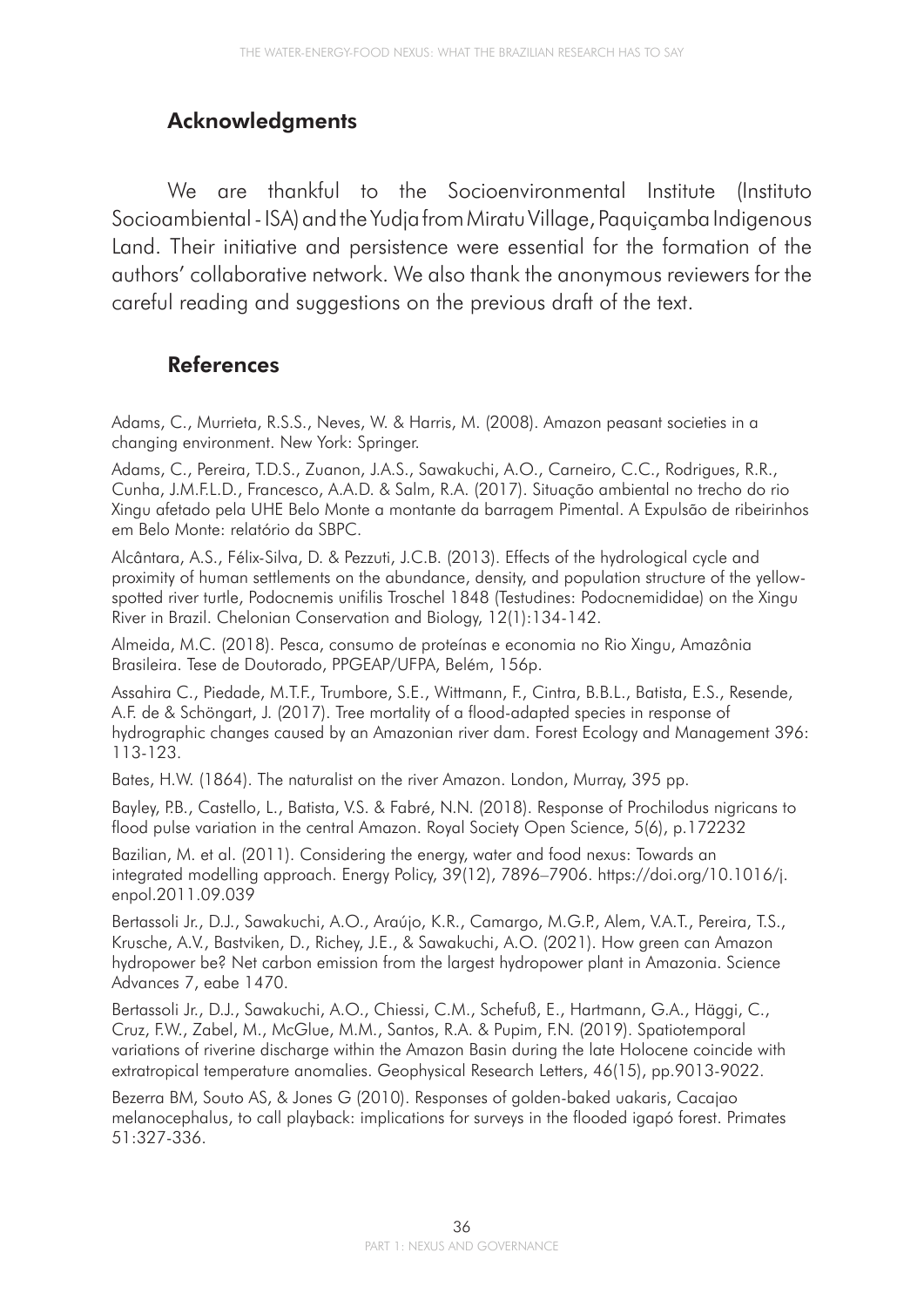### Acknowledgments

We are thankful to the Socioenvironmental Institute (Instituto Socioambiental - ISA) and the Yudja from Miratu Village, Paquiçamba Indigenous Land. Their initiative and persistence were essential for the formation of the authors' collaborative network. We also thank the anonymous reviewers for the careful reading and suggestions on the previous draft of the text.

#### References

Adams, C., Murrieta, R.S.S., Neves, W. & Harris, M. (2008). Amazon peasant societies in a changing environment. New York: Springer.

Adams, C., Pereira, T.D.S., Zuanon, J.A.S., Sawakuchi, A.O., Carneiro, C.C., Rodrigues, R.R., Cunha, J.M.F.L.D., Francesco, A.A.D. & Salm, R.A. (2017). Situação ambiental no trecho do rio Xingu afetado pela UHE Belo Monte a montante da barragem Pimental. A Expulsão de ribeirinhos em Belo Monte: relatório da SBPC.

Alcântara, A.S., Félix-Silva, D. & Pezzuti, J.C.B. (2013). Effects of the hydrological cycle and proximity of human settlements on the abundance, density, and population structure of the yellowspotted river turtle, Podocnemis unifilis Troschel 1848 (Testudines: Podocnemididae) on the Xingu River in Brazil. Chelonian Conservation and Biology, 12(1):134-142.

Almeida, M.C. (2018). Pesca, consumo de proteínas e economia no Rio Xingu, Amazônia Brasileira. Tese de Doutorado, PPGEAP/UFPA, Belém, 156p.

Assahira C., Piedade, M.T.F., Trumbore, S.E., Wittmann, F., Cintra, B.B.L., Batista, E.S., Resende, A.F. de & Schöngart, J. (2017). Tree mortality of a flood-adapted species in response of hydrographic changes caused by an Amazonian river dam. Forest Ecology and Management 396: 113-123.

Bates, H.W. (1864). The naturalist on the river Amazon. London, Murray, 395 pp.

Bayley, P.B., Castello, L., Batista, V.S. & Fabré, N.N. (2018). Response of Prochilodus nigricans to flood pulse variation in the central Amazon. Royal Society Open Science, 5(6), p.172232

Bazilian, M. et al. (2011). Considering the energy, water and food nexus: Towards an integrated modelling approach. Energy Policy, 39(12), 7896–7906. https://doi.org/10.1016/j. enpol.2011.09.039

Bertassoli Jr., D.J., Sawakuchi, A.O., Araújo, K.R., Camargo, M.G.P., Alem, V.A.T., Pereira, T.S., Krusche, A.V., Bastviken, D., Richey, J.E., & Sawakuchi, A.O. (2021). How green can Amazon hydropower be? Net carbon emission from the largest hydropower plant in Amazonia. Science Advances 7, eabe 1470.

Bertassoli Jr., D.J., Sawakuchi, A.O., Chiessi, C.M., Schefuß, E., Hartmann, G.A., Häggi, C., Cruz, F.W., Zabel, M., McGlue, M.M., Santos, R.A. & Pupim, F.N. (2019). Spatiotemporal variations of riverine discharge within the Amazon Basin during the late Holocene coincide with extratropical temperature anomalies. Geophysical Research Letters, 46(15), pp.9013-9022.

Bezerra BM, Souto AS, & Jones G (2010). Responses of golden-baked uakaris, Cacajao melanocephalus, to call playback: implications for surveys in the flooded igapó forest. Primates 51:327-336.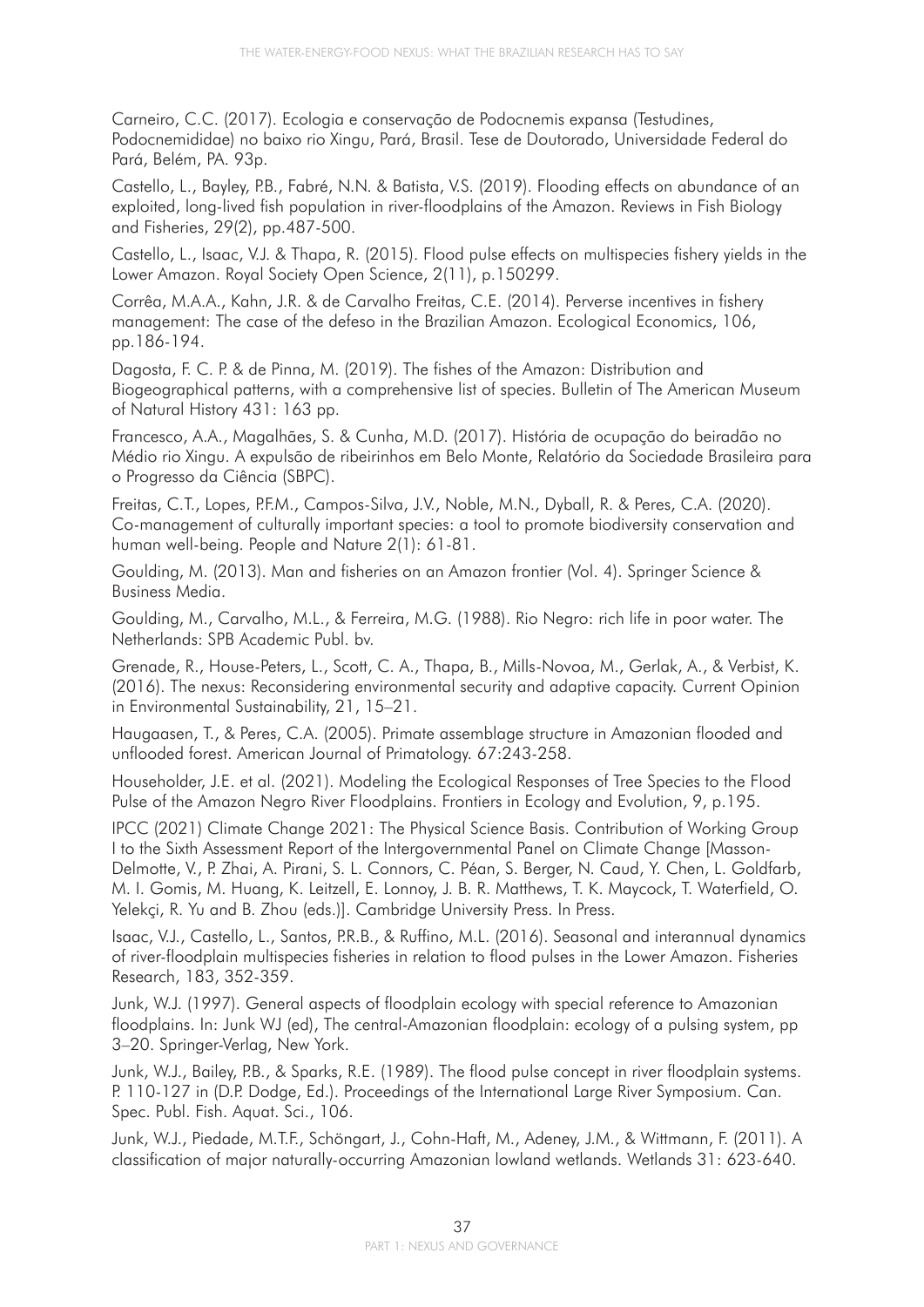Carneiro, C.C. (2017). Ecologia e conservação de Podocnemis expansa (Testudines, Podocnemididae) no baixo rio Xingu, Pará, Brasil. Tese de Doutorado, Universidade Federal do Pará, Belém, PA. 93p.

Castello, L., Bayley, P.B., Fabré, N.N. & Batista, V.S. (2019). Flooding effects on abundance of an exploited, long-lived fish population in river-floodplains of the Amazon. Reviews in Fish Biology and Fisheries, 29(2), pp.487-500.

Castello, L., Isaac, V.J. & Thapa, R. (2015). Flood pulse effects on multispecies fishery yields in the Lower Amazon. Royal Society Open Science, 2(11), p.150299.

Corrêa, M.A.A., Kahn, J.R. & de Carvalho Freitas, C.E. (2014). Perverse incentives in fishery management: The case of the defeso in the Brazilian Amazon. Ecological Economics, 106, pp.186-194.

Dagosta, F. C. P. & de Pinna, M. (2019). The fishes of the Amazon: Distribution and Biogeographical patterns, with a comprehensive list of species. Bulletin of The American Museum of Natural History 431: 163 pp.

Francesco, A.A., Magalhães, S. & Cunha, M.D. (2017). História de ocupação do beiradão no Médio rio Xingu. A expulsão de ribeirinhos em Belo Monte, Relatório da Sociedade Brasileira para o Progresso da Ciência (SBPC).

Freitas, C.T., Lopes, P.F.M., Campos-Silva, J.V., Noble, M.N., Dyball, R. & Peres, C.A. (2020). Co-management of culturally important species: a tool to promote biodiversity conservation and human well-being. People and Nature 2(1): 61-81.

Goulding, M. (2013). Man and fisheries on an Amazon frontier (Vol. 4). Springer Science & Business Media.

Goulding, M., Carvalho, M.L., & Ferreira, M.G. (1988). Rio Negro: rich life in poor water. The Netherlands: SPB Academic Publ. bv.

Grenade, R., House-Peters, L., Scott, C. A., Thapa, B., Mills-Novoa, M., Gerlak, A., & Verbist, K. (2016). The nexus: Reconsidering environmental security and adaptive capacity. Current Opinion in Environmental Sustainability, 21, 15–21.

Haugaasen, T., & Peres, C.A. (2005). Primate assemblage structure in Amazonian flooded and unflooded forest. American Journal of Primatology. 67:243-258.

Householder, J.E. et al. (2021). Modeling the Ecological Responses of Tree Species to the Flood Pulse of the Amazon Negro River Floodplains. Frontiers in Ecology and Evolution, 9, p.195.

IPCC (2021) Climate Change 2021: The Physical Science Basis. Contribution of Working Group I to the Sixth Assessment Report of the Intergovernmental Panel on Climate Change [Masson-Delmotte, V., P. Zhai, A. Pirani, S. L. Connors, C. Péan, S. Berger, N. Caud, Y. Chen, L. Goldfarb, M. I. Gomis, M. Huang, K. Leitzell, E. Lonnoy, J. B. R. Matthews, T. K. Maycock, T. Waterfield, O. Yelekçi, R. Yu and B. Zhou (eds.)]. Cambridge University Press. In Press.

Isaac, V.J., Castello, L., Santos, P.R.B., & Ruffino, M.L. (2016). Seasonal and interannual dynamics of river-floodplain multispecies fisheries in relation to flood pulses in the Lower Amazon. Fisheries Research, 183, 352-359.

Junk, W.J. (1997). General aspects of floodplain ecology with special reference to Amazonian floodplains. In: Junk WJ (ed), The central-Amazonian floodplain: ecology of a pulsing system, pp 3–20. Springer-Verlag, New York.

Junk, W.J., Bailey, P.B., & Sparks, R.E. (1989). The flood pulse concept in river floodplain systems. P. 110-127 in (D.P. Dodge, Ed.). Proceedings of the International Large River Symposium. Can. Spec. Publ. Fish. Aquat. Sci., 106.

Junk, W.J., Piedade, M.T.F., Schöngart, J., Cohn-Haft, M., Adeney, J.M., & Wittmann, F. (2011). A classification of major naturally-occurring Amazonian lowland wetlands. Wetlands 31: 623-640.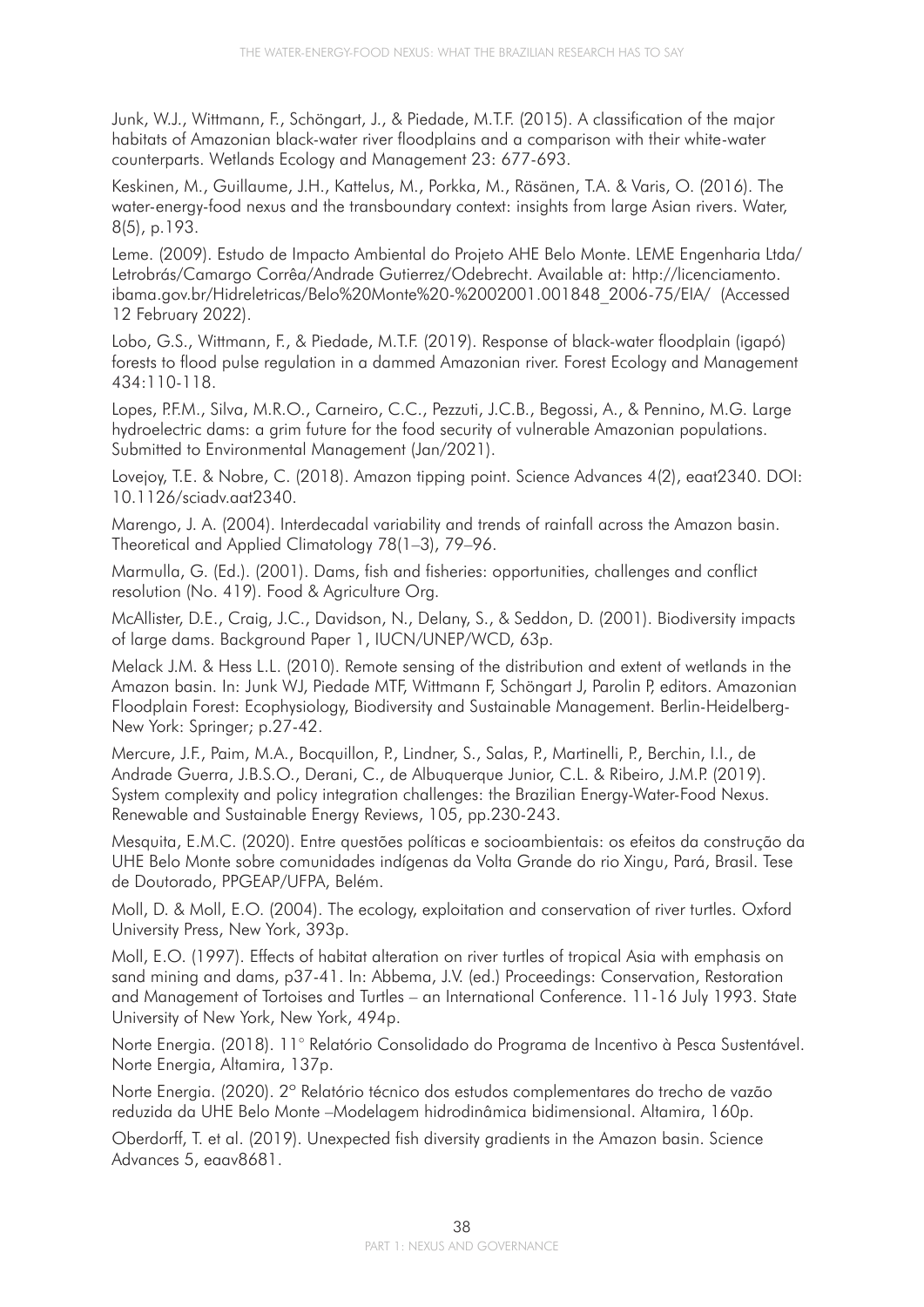Junk, W.J., Wittmann, F., Schöngart, J., & Piedade, M.T.F. (2015). A classification of the major habitats of Amazonian black-water river floodplains and a comparison with their white-water counterparts. Wetlands Ecology and Management 23: 677-693.

Keskinen, M., Guillaume, J.H., Kattelus, M., Porkka, M., Räsänen, T.A. & Varis, O. (2016). The water-energy-food nexus and the transboundary context: insights from large Asian rivers. Water, 8(5), p.193.

Leme. (2009). Estudo de Impacto Ambiental do Projeto AHE Belo Monte. LEME Engenharia Ltda/ Letrobrás/Camargo Corrêa/Andrade Gutierrez/Odebrecht. Available at: http://licenciamento. ibama.gov.br/Hidreletricas/Belo%20Monte%20-%2002001.001848\_2006-75/EIA/ (Accessed 12 February 2022).

Lobo, G.S., Wittmann, F., & Piedade, M.T.F. (2019). Response of black-water floodplain (igapó) forests to flood pulse regulation in a dammed Amazonian river. Forest Ecology and Management 434:110-118.

Lopes, P.F.M., Silva, M.R.O., Carneiro, C.C., Pezzuti, J.C.B., Begossi, A., & Pennino, M.G. Large hydroelectric dams: a grim future for the food security of vulnerable Amazonian populations. Submitted to Environmental Management (Jan/2021).

Lovejoy, T.E. & Nobre, C. (2018). Amazon tipping point. Science Advances 4(2), eaat2340. DOI: 10.1126/sciadv.aat2340.

Marengo, J. A. (2004). Interdecadal variability and trends of rainfall across the Amazon basin. Theoretical and Applied Climatology 78(1–3), 79–96.

Marmulla, G. (Ed.). (2001). Dams, fish and fisheries: opportunities, challenges and conflict resolution (No. 419). Food & Agriculture Org.

McAllister, D.E., Craig, J.C., Davidson, N., Delany, S., & Seddon, D. (2001). Biodiversity impacts of large dams. Background Paper 1, IUCN/UNEP/WCD, 63p.

Melack J.M. & Hess L.L. (2010). Remote sensing of the distribution and extent of wetlands in the Amazon basin. In: Junk WJ, Piedade MTF, Wittmann F, Schöngart J, Parolin P, editors. Amazonian Floodplain Forest: Ecophysiology, Biodiversity and Sustainable Management. Berlin-Heidelberg-New York: Springer; p.27-42.

Mercure, J.F., Paim, M.A., Bocquillon, P., Lindner, S., Salas, P., Martinelli, P., Berchin, I.I., de Andrade Guerra, J.B.S.O., Derani, C., de Albuquerque Junior, C.L. & Ribeiro, J.M.P. (2019). System complexity and policy integration challenges: the Brazilian Energy-Water-Food Nexus. Renewable and Sustainable Energy Reviews, 105, pp.230-243.

Mesquita, E.M.C. (2020). Entre questões políticas e socioambientais: os efeitos da construção da UHE Belo Monte sobre comunidades indígenas da Volta Grande do rio Xingu, Pará, Brasil. Tese de Doutorado, PPGEAP/UFPA, Belém.

Moll, D. & Moll, E.O. (2004). The ecology, exploitation and conservation of river turtles. Oxford University Press, New York, 393p.

Moll, E.O. (1997). Effects of habitat alteration on river turtles of tropical Asia with emphasis on sand mining and dams, p37-41. In: Abbema, J.V. (ed.) Proceedings: Conservation, Restoration and Management of Tortoises and Turtles – an International Conference. 11-16 July 1993. State University of New York, New York, 494p.

Norte Energia. (2018). 11° Relatório Consolidado do Programa de Incentivo à Pesca Sustentável. Norte Energia, Altamira, 137p.

Norte Energia. (2020). 2º Relatório técnico dos estudos complementares do trecho de vazão reduzida da UHE Belo Monte –Modelagem hidrodinâmica bidimensional. Altamira, 160p.

Oberdorff, T. et al. (2019). Unexpected fish diversity gradients in the Amazon basin. Science Advances 5, eaav8681.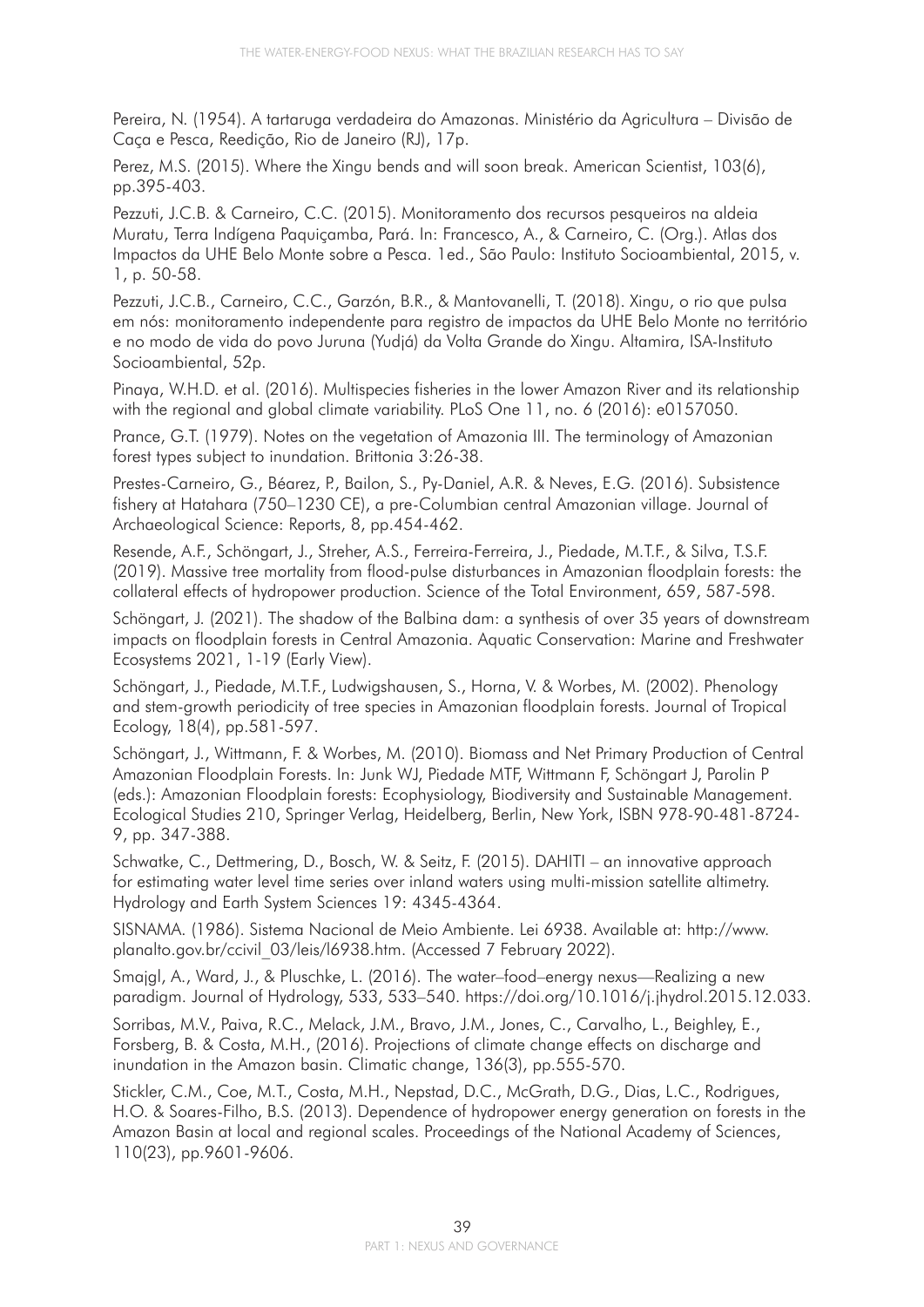Pereira, N. (1954). A tartaruga verdadeira do Amazonas. Ministério da Agricultura – Divisão de Caça e Pesca, Reedição, Rio de Janeiro (RJ), 17p.

Perez, M.S. (2015). Where the Xingu bends and will soon break. American Scientist, 103(6), pp.395-403.

Pezzuti, J.C.B. & Carneiro, C.C. (2015). Monitoramento dos recursos pesqueiros na aldeia Muratu, Terra Indígena Paquiçamba, Pará. In: Francesco, A., & Carneiro, C. (Org.). Atlas dos Impactos da UHE Belo Monte sobre a Pesca. 1ed., São Paulo: Instituto Socioambiental, 2015, v. 1, p. 50-58.

Pezzuti, J.C.B., Carneiro, C.C., Garzón, B.R., & Mantovanelli, T. (2018). Xingu, o rio que pulsa em nós: monitoramento independente para registro de impactos da UHE Belo Monte no território e no modo de vida do povo Juruna (Yudjá) da Volta Grande do Xingu. Altamira, ISA-Instituto Socioambiental, 52p.

Pinaya, W.H.D. et al. (2016). Multispecies fisheries in the lower Amazon River and its relationship with the regional and global climate variability. PLoS One 11, no. 6 (2016): e0157050.

Prance, G.T. (1979). Notes on the vegetation of Amazonia III. The terminology of Amazonian forest types subject to inundation. Brittonia 3:26-38.

Prestes-Carneiro, G., Béarez, P., Bailon, S., Py-Daniel, A.R. & Neves, E.G. (2016). Subsistence fishery at Hatahara (750–1230 CE), a pre-Columbian central Amazonian village. Journal of Archaeological Science: Reports, 8, pp.454-462.

Resende, A.F., Schöngart, J., Streher, A.S., Ferreira-Ferreira, J., Piedade, M.T.F., & Silva, T.S.F. (2019). Massive tree mortality from flood-pulse disturbances in Amazonian floodplain forests: the collateral effects of hydropower production. Science of the Total Environment, 659, 587-598.

Schöngart, J. (2021). The shadow of the Balbina dam: a synthesis of over 35 years of downstream impacts on floodplain forests in Central Amazonia. Aquatic Conservation: Marine and Freshwater Ecosystems 2021, 1-19 (Early View).

Schöngart, J., Piedade, M.T.F., Ludwigshausen, S., Horna, V. & Worbes, M. (2002). Phenology and stem-growth periodicity of tree species in Amazonian floodplain forests. Journal of Tropical Ecology, 18(4), pp.581-597.

Schöngart, J., Wittmann, F. & Worbes, M. (2010). Biomass and Net Primary Production of Central Amazonian Floodplain Forests. In: Junk WJ, Piedade MTF, Wittmann F, Schöngart J, Parolin P (eds.): Amazonian Floodplain forests: Ecophysiology, Biodiversity and Sustainable Management. Ecological Studies 210, Springer Verlag, Heidelberg, Berlin, New York, ISBN 978-90-481-8724- 9, pp. 347-388.

Schwatke, C., Dettmering, D., Bosch, W. & Seitz, F. (2015). DAHITI – an innovative approach for estimating water level time series over inland waters using multi-mission satellite altimetry. Hydrology and Earth System Sciences 19: 4345-4364.

SISNAMA. (1986). Sistema Nacional de Meio Ambiente. Lei 6938. Available at: http://www. planalto.gov.br/ccivil\_03/leis/l6938.htm. (Accessed 7 February 2022).

Smajgl, A., Ward, J., & Pluschke, L. (2016). The water–food–energy nexus—Realizing a new paradigm. Journal of Hydrology, 533, 533–540. https://doi.org/10.1016/j.jhydrol.2015.12.033.

Sorribas, M.V., Paiva, R.C., Melack, J.M., Bravo, J.M., Jones, C., Carvalho, L., Beighley, E., Forsberg, B. & Costa, M.H., (2016). Projections of climate change effects on discharge and inundation in the Amazon basin. Climatic change, 136(3), pp.555-570.

Stickler, C.M., Coe, M.T., Costa, M.H., Nepstad, D.C., McGrath, D.G., Dias, L.C., Rodrigues, H.O. & Soares-Filho, B.S. (2013). Dependence of hydropower energy generation on forests in the Amazon Basin at local and regional scales. Proceedings of the National Academy of Sciences, 110(23), pp.9601-9606.